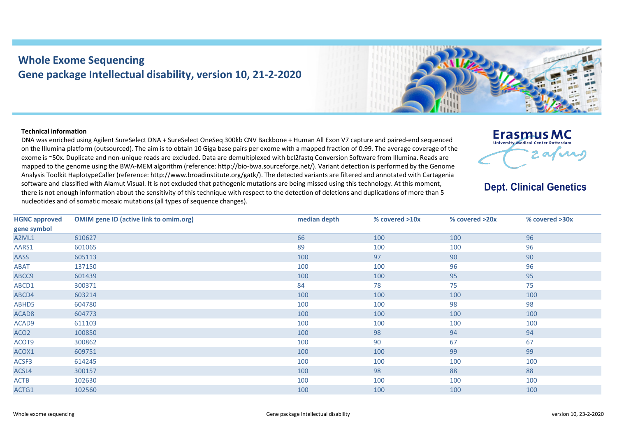## **Whole Exome Sequencing Gene package Intellectual disability, version 10, 21-2-2020**

## **Technical information**

DNA was enriched using Agilent SureSelect DNA + SureSelect OneSeq 300kb CNV Backbone + Human All Exon V7 capture and paired-end sequenced on the Illumina platform (outsourced). The aim is to obtain 10 Giga base pairs per exome with a mapped fraction of 0.99. The average coverage of the exome is ~50x. Duplicate and non-unique reads are excluded. Data are demultiplexed with bcl2fastq Conversion Software from Illumina. Reads are mapped to the genome using the BWA-MEM algorithm (reference: http://bio-bwa.sourceforge.net/). Variant detection is performed by the Genome Analysis Toolkit HaplotypeCaller (reference: http://www.broadinstitute.org/gatk/). The detected variants are filtered and annotated with Cartagenia software and classified with Alamut Visual. It is not excluded that pathogenic mutations are being missed using this technology. At this moment, there is not enough information about the sensitivity of this technique with respect to the detection of deletions and duplications of more than 5 nucleotides and of somatic mosaic mutations (all types of sequence changes).



## **Dept. Clinical Genetics**

| <b>HGNC approved</b> | <b>OMIM gene ID (active link to omim.org)</b> | median depth | % covered >10x | % covered >20x | % covered >30x |
|----------------------|-----------------------------------------------|--------------|----------------|----------------|----------------|
| gene symbol          |                                               |              |                |                |                |
| A2ML1                | 610627                                        | 66           | 100            | 100            | 96             |
| AARS1                | 601065                                        | 89           | 100            | 100            | 96             |
| AASS                 | 605113                                        | 100          | 97             | 90             | 90             |
| <b>ABAT</b>          | 137150                                        | 100          | 100            | 96             | 96             |
| ABCC9                | 601439                                        | 100          | 100            | 95             | 95             |
| ABCD1                | 300371                                        | 84           | 78             | 75             | 75             |
| ABCD4                | 603214                                        | 100          | 100            | 100            | 100            |
| ABHD5                | 604780                                        | 100          | 100            | 98             | 98             |
| ACAD <sub>8</sub>    | 604773                                        | 100          | 100            | 100            | 100            |
| ACAD9                | 611103                                        | 100          | 100            | 100            | 100            |
| ACO <sub>2</sub>     | 100850                                        | 100          | 98             | 94             | 94             |
| ACOT9                | 300862                                        | 100          | 90             | 67             | 67             |
| ACOX1                | 609751                                        | 100          | 100            | 99             | 99             |
| ACSF3                | 614245                                        | 100          | 100            | 100            | 100            |
| ACSL4                | 300157                                        | 100          | 98             | 88             | 88             |
| <b>ACTB</b>          | 102630                                        | 100          | 100            | 100            | 100            |
| ACTG1                | 102560                                        | 100          | 100            | 100            | 100            |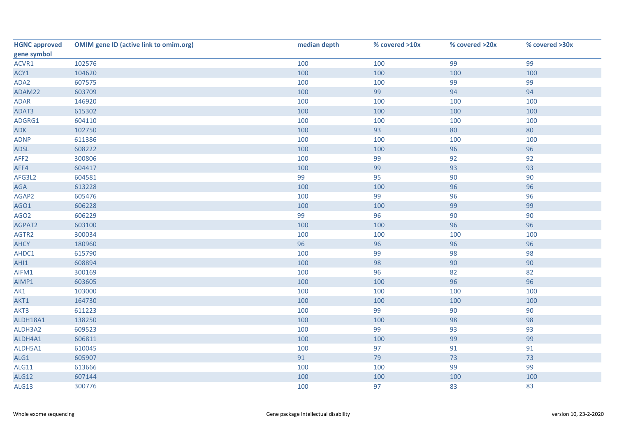| <b>HGNC approved</b> | <b>OMIM gene ID (active link to omim.org)</b> | median depth | % covered >10x | % covered >20x | % covered >30x |
|----------------------|-----------------------------------------------|--------------|----------------|----------------|----------------|
| gene symbol          |                                               |              |                |                |                |
| ACVR1                | 102576                                        | 100          | 100            | 99             | 99             |
| ACY1                 | 104620                                        | 100          | 100            | 100            | 100            |
| ADA2                 | 607575                                        | 100          | 100            | 99             | 99             |
| ADAM22               | 603709                                        | 100          | 99             | 94             | 94             |
| ADAR                 | 146920                                        | 100          | 100            | 100            | 100            |
| ADAT3                | 615302                                        | 100          | 100            | 100            | 100            |
| ADGRG1               | 604110                                        | 100          | 100            | 100            | 100            |
| ADK                  | 102750                                        | 100          | 93             | 80             | 80             |
| <b>ADNP</b>          | 611386                                        | 100          | 100            | 100            | 100            |
| ADSL                 | 608222                                        | 100          | 100            | 96             | 96             |
| AFF <sub>2</sub>     | 300806                                        | 100          | 99             | 92             | 92             |
| AFF4                 | 604417                                        | 100          | 99             | 93             | 93             |
| AFG3L2               | 604581                                        | 99           | 95             | 90             | 90             |
| $AGA$                | 613228                                        | 100          | 100            | 96             | 96             |
| AGAP2                | 605476                                        | 100          | 99             | 96             | 96             |
| AGO1                 | 606228                                        | 100          | 100            | 99             | 99             |
| AGO <sub>2</sub>     | 606229                                        | 99           | 96             | 90             | 90             |
| AGPAT2               | 603100                                        | 100          | 100            | 96             | 96             |
| AGTR2                | 300034                                        | 100          | 100            | 100            | 100            |
| <b>AHCY</b>          | 180960                                        | 96           | 96             | 96             | 96             |
| AHDC1                | 615790                                        | 100          | 99             | 98             | 98             |
| AHI1                 | 608894                                        | 100          | 98             | 90             | 90             |
| AIFM1                | 300169                                        | 100          | 96             | 82             | 82             |
| AIMP1                | 603605                                        | 100          | 100            | 96             | 96             |
| AK1                  | 103000                                        | 100          | 100            | 100            | 100            |
| AKT1                 | 164730                                        | 100          | 100            | 100            | 100            |
| AKT3                 | 611223                                        | 100          | 99             | 90             | 90             |
| ALDH18A1             | 138250                                        | 100          | 100            | 98             | 98             |
| ALDH3A2              | 609523                                        | 100          | 99             | 93             | 93             |
| ALDH4A1              | 606811                                        | 100          | 100            | 99             | 99             |
| ALDH5A1              | 610045                                        | 100          | 97             | 91             | 91             |
| ALG1                 | 605907                                        | 91           | 79             | $73$           | 73             |
| ALG11                | 613666                                        | 100          | 100            | 99             | 99             |
| ALG12                | 607144                                        | 100          | 100            | 100            | 100            |
| ALG13                | 300776                                        | 100          | 97             | 83             | 83             |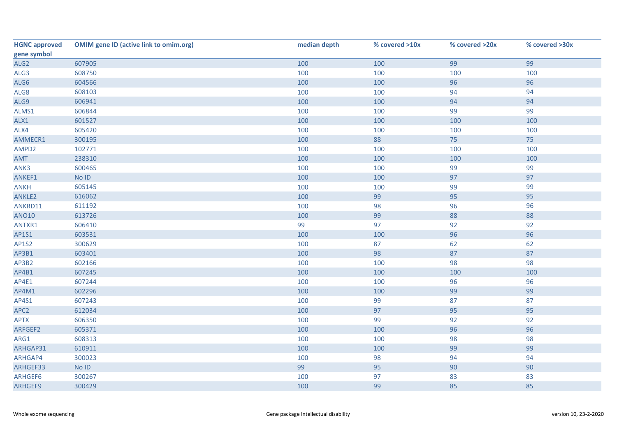| <b>HGNC approved</b> | <b>OMIM gene ID (active link to omim.org)</b> | median depth | % covered >10x | % covered >20x | % covered >30x |
|----------------------|-----------------------------------------------|--------------|----------------|----------------|----------------|
| gene symbol          |                                               |              |                |                |                |
| ALG <sub>2</sub>     | 607905                                        | 100          | 100            | 99             | 99             |
| ALG3                 | 608750                                        | 100          | 100            | 100            | 100            |
| ALG6                 | 604566                                        | 100          | 100            | 96             | 96             |
| ALG8                 | 608103                                        | 100          | 100            | 94             | 94             |
| ALG9                 | 606941                                        | 100          | 100            | 94             | 94             |
| ALMS1                | 606844                                        | 100          | 100            | 99             | 99             |
| ALX1                 | 601527                                        | 100          | 100            | 100            | 100            |
| ALX4                 | 605420                                        | 100          | 100            | 100            | 100            |
| AMMECR1              | 300195                                        | 100          | 88             | 75             | 75             |
| AMPD2                | 102771                                        | 100          | 100            | 100            | 100            |
| AMT                  | 238310                                        | 100          | 100            | 100            | 100            |
| ANK3                 | 600465                                        | 100          | 100            | 99             | 99             |
| ANKEF1               | $No$ $ID$                                     | 100          | 100            | 97             | 97             |
| <b>ANKH</b>          | 605145                                        | 100          | 100            | 99             | 99             |
| ANKLE2               | 616062                                        | 100          | 99             | 95             | 95             |
| ANKRD11              | 611192                                        | 100          | 98             | 96             | 96             |
| <b>ANO10</b>         | 613726                                        | 100          | 99             | 88             | 88             |
| ANTXR1               | 606410                                        | 99           | 97             | 92             | 92             |
| AP1S1                | 603531                                        | 100          | 100            | 96             | 96             |
| <b>AP1S2</b>         | 300629                                        | 100          | 87             | 62             | 62             |
| AP3B1                | 603401                                        | 100          | 98             | 87             | 87             |
| AP3B2                | 602166                                        | 100          | 100            | 98             | 98             |
| AP4B1                | 607245                                        | 100          | 100            | 100            | 100            |
| AP4E1                | 607244                                        | 100          | 100            | 96             | 96             |
| AP4M1                | 602296                                        | 100          | 100            | 99             | 99             |
| AP4S1                | 607243                                        | 100          | 99             | 87             | 87             |
| APC <sub>2</sub>     | 612034                                        | 100          | 97             | 95             | 95             |
| <b>APTX</b>          | 606350                                        | 100          | 99             | 92             | 92             |
| ARFGEF2              | 605371                                        | 100          | 100            | 96             | 96             |
| ARG1                 | 608313                                        | 100          | 100            | 98             | 98             |
| ARHGAP31             | 610911                                        | 100          | 100            | 99             | 99             |
| ARHGAP4              | 300023                                        | 100          | 98             | 94             | 94             |
| ARHGEF33             | $No$ $ID$                                     | 99           | 95             | 90             | 90             |
| ARHGEF6              | 300267                                        | 100          | 97             | 83             | 83             |
| ARHGEF9              | 300429                                        | 100          | 99             | 85             | 85             |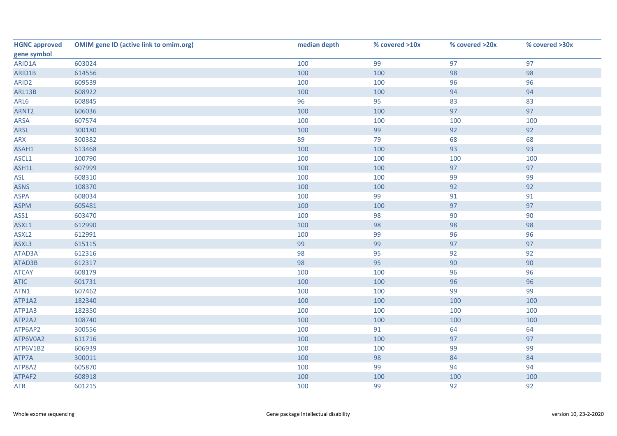| <b>HGNC approved</b> | <b>OMIM gene ID (active link to omim.org)</b> | median depth | % covered >10x | % covered >20x | % covered >30x |
|----------------------|-----------------------------------------------|--------------|----------------|----------------|----------------|
| gene symbol          |                                               |              |                |                |                |
| ARID1A               | 603024                                        | 100          | 99             | 97             | 97             |
| ARID1B               | 614556                                        | 100          | 100            | 98             | 98             |
| ARID <sub>2</sub>    | 609539                                        | 100          | 100            | 96             | 96             |
| ARL13B               | 608922                                        | 100          | 100            | 94             | 94             |
| ARL6                 | 608845                                        | 96           | 95             | 83             | 83             |
| ARNT <sub>2</sub>    | 606036                                        | 100          | 100            | 97             | 97             |
| <b>ARSA</b>          | 607574                                        | 100          | 100            | 100            | 100            |
| ARSL                 | 300180                                        | 100          | 99             | 92             | 92             |
| ARX                  | 300382                                        | 89           | 79             | 68             | 68             |
| ASAH1                | 613468                                        | 100          | 100            | 93             | 93             |
| ASCL1                | 100790                                        | 100          | 100            | 100            | 100            |
| ASH1L                | 607999                                        | 100          | 100            | 97             | 97             |
| ASL                  | 608310                                        | 100          | 100            | 99             | 99             |
| <b>ASNS</b>          | 108370                                        | 100          | 100            | 92             | 92             |
| <b>ASPA</b>          | 608034                                        | 100          | 99             | 91             | 91             |
| <b>ASPM</b>          | 605481                                        | 100          | 100            | 97             | 97             |
| ASS1                 | 603470                                        | 100          | 98             | 90             | 90             |
| ASXL1                | 612990                                        | 100          | 98             | 98             | 98             |
| ASXL <sub>2</sub>    | 612991                                        | 100          | 99             | 96             | 96             |
| ASXL3                | 615115                                        | 99           | 99             | 97             | 97             |
| ATAD3A               | 612316                                        | 98           | 95             | 92             | 92             |
| ATAD3B               | 612317                                        | 98           | 95             | 90             | 90             |
| <b>ATCAY</b>         | 608179                                        | 100          | 100            | 96             | 96             |
| <b>ATIC</b>          | 601731                                        | 100          | 100            | 96             | 96             |
| ATN1                 | 607462                                        | 100          | 100            | 99             | 99             |
| ATP1A2               | 182340                                        | 100          | 100            | 100            | 100            |
| ATP1A3               | 182350                                        | 100          | 100            | 100            | 100            |
| ATP2A2               | 108740                                        | 100          | 100            | 100            | 100            |
| ATP6AP2              | 300556                                        | 100          | 91             | 64             | 64             |
| ATP6V0A2             | 611716                                        | 100          | 100            | 97             | 97             |
| ATP6V1B2             | 606939                                        | 100          | 100            | 99             | 99             |
| ATP7A                | 300011                                        | 100          | 98             | 84             | 84             |
| ATP8A2               | 605870                                        | 100          | 99             | 94             | 94             |
| ATPAF2               | 608918                                        | 100          | 100            | 100            | 100            |
| <b>ATR</b>           | 601215                                        | 100          | 99             | 92             | 92             |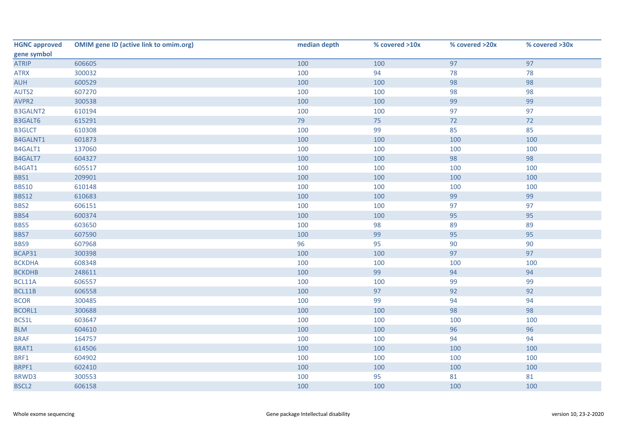| <b>HGNC approved</b> | <b>OMIM gene ID (active link to omim.org)</b> | median depth | % covered >10x | % covered >20x | % covered >30x |
|----------------------|-----------------------------------------------|--------------|----------------|----------------|----------------|
| gene symbol          |                                               |              |                |                |                |
| <b>ATRIP</b>         | 606605                                        | 100          | 100            | 97             | 97             |
| <b>ATRX</b>          | 300032                                        | 100          | 94             | 78             | 78             |
| <b>AUH</b>           | 600529                                        | 100          | 100            | 98             | 98             |
| AUTS2                | 607270                                        | 100          | 100            | 98             | 98             |
| AVPR2                | 300538                                        | 100          | 100            | 99             | 99             |
| <b>B3GALNT2</b>      | 610194                                        | 100          | 100            | 97             | 97             |
| B3GALT6              | 615291                                        | 79           | 75             | 72             | 72             |
| <b>B3GLCT</b>        | 610308                                        | 100          | 99             | 85             | 85             |
| B4GALNT1             | 601873                                        | 100          | 100            | 100            | 100            |
| B4GALT1              | 137060                                        | 100          | 100            | 100            | 100            |
| B4GALT7              | 604327                                        | 100          | 100            | 98             | 98             |
| B4GAT1               | 605517                                        | 100          | 100            | 100            | 100            |
| BBS1                 | 209901                                        | 100          | 100            | 100            | 100            |
| <b>BBS10</b>         | 610148                                        | 100          | 100            | 100            | 100            |
| <b>BBS12</b>         | 610683                                        | 100          | 100            | 99             | 99             |
| BBS2                 | 606151                                        | 100          | 100            | 97             | 97             |
| BBS4                 | 600374                                        | 100          | 100            | 95             | 95             |
| BBS5                 | 603650                                        | 100          | 98             | 89             | 89             |
| BBS7                 | 607590                                        | 100          | 99             | 95             | 95             |
| BBS9                 | 607968                                        | 96           | 95             | 90             | 90             |
| BCAP31               | 300398                                        | 100          | 100            | 97             | 97             |
| <b>BCKDHA</b>        | 608348                                        | 100          | 100            | 100            | 100            |
| <b>BCKDHB</b>        | 248611                                        | 100          | 99             | 94             | 94             |
| BCL11A               | 606557                                        | 100          | 100            | 99             | 99             |
| BCL11B               | 606558                                        | 100          | 97             | 92             | 92             |
| <b>BCOR</b>          | 300485                                        | 100          | 99             | 94             | 94             |
| <b>BCORL1</b>        | 300688                                        | 100          | 100            | 98             | 98             |
| BCS1L                | 603647                                        | 100          | 100            | 100            | 100            |
| <b>BLM</b>           | 604610                                        | 100          | 100            | 96             | 96             |
| <b>BRAF</b>          | 164757                                        | 100          | 100            | 94             | 94             |
| BRAT1                | 614506                                        | 100          | 100            | 100            | 100            |
| BRF1                 | 604902                                        | 100          | 100            | 100            | 100            |
| BRPF1                | 602410                                        | 100          | 100            | 100            | 100            |
| BRWD3                | 300553                                        | 100          | 95             | 81             | 81             |
| <b>BSCL2</b>         | 606158                                        | 100          | 100            | 100            | 100            |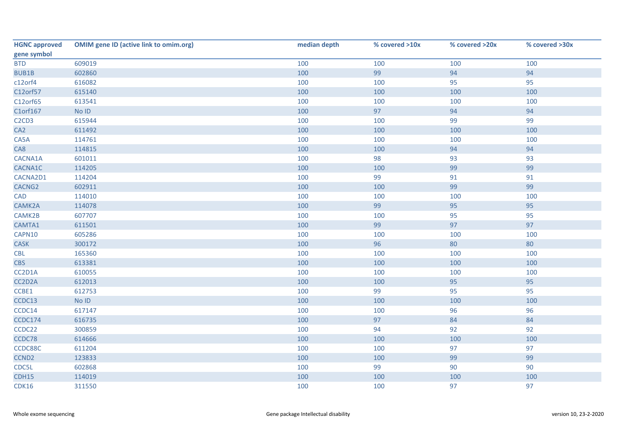| <b>HGNC approved</b>                       | <b>OMIM gene ID (active link to omim.org)</b> | median depth | % covered >10x | % covered >20x | % covered >30x |
|--------------------------------------------|-----------------------------------------------|--------------|----------------|----------------|----------------|
| gene symbol                                |                                               |              |                |                |                |
| <b>BTD</b>                                 | 609019                                        | 100          | 100            | 100            | 100            |
| <b>BUB1B</b>                               | 602860                                        | 100          | 99             | 94             | 94             |
| c12orf4                                    | 616082                                        | 100          | 100            | 95             | 95             |
| C12orf57                                   | 615140                                        | 100          | 100            | 100            | 100            |
| C12orf65                                   | 613541                                        | 100          | 100            | 100            | 100            |
| C1orf167                                   | No ID                                         | 100          | 97             | 94             | 94             |
| C <sub>2</sub> C <sub>D</sub> <sub>3</sub> | 615944                                        | 100          | 100            | 99             | 99             |
| CA <sub>2</sub>                            | 611492                                        | 100          | 100            | 100            | 100            |
| CA5A                                       | 114761                                        | 100          | 100            | 100            | 100            |
| CA8                                        | 114815                                        | 100          | 100            | 94             | 94             |
| CACNA1A                                    | 601011                                        | 100          | 98             | 93             | 93             |
| CACNA1C                                    | 114205                                        | 100          | 100            | 99             | 99             |
| CACNA2D1                                   | 114204                                        | 100          | 99             | 91             | 91             |
| CACNG <sub>2</sub>                         | 602911                                        | 100          | 100            | 99             | 99             |
| <b>CAD</b>                                 | 114010                                        | 100          | 100            | 100            | 100            |
| CAMK2A                                     | 114078                                        | 100          | 99             | 95             | 95             |
| CAMK2B                                     | 607707                                        | 100          | 100            | 95             | 95             |
| CAMTA1                                     | 611501                                        | 100          | 99             | 97             | 97             |
| CAPN10                                     | 605286                                        | 100          | 100            | 100            | 100            |
| <b>CASK</b>                                | 300172                                        | 100          | 96             | 80             | 80             |
| <b>CBL</b>                                 | 165360                                        | 100          | 100            | 100            | 100            |
| <b>CBS</b>                                 | 613381                                        | 100          | 100            | 100            | 100            |
| CC2D1A                                     | 610055                                        | 100          | 100            | 100            | 100            |
| CC2D2A                                     | 612013                                        | 100          | 100            | 95             | 95             |
| CCBE1                                      | 612753                                        | 100          | 99             | 95             | 95             |
| CCDC13                                     | No ID                                         | 100          | 100            | 100            | 100            |
| CCDC14                                     | 617147                                        | 100          | 100            | 96             | 96             |
| CCDC174                                    | 616735                                        | 100          | 97             | 84             | 84             |
| CCDC22                                     | 300859                                        | 100          | 94             | 92             | 92             |
| CCDC78                                     | 614666                                        | 100          | 100            | 100            | 100            |
| CCDC88C                                    | 611204                                        | 100          | 100            | 97             | 97             |
| CCND <sub>2</sub>                          | 123833                                        | 100          | 100            | 99             | 99             |
| CDC5L                                      | 602868                                        | 100          | 99             | 90             | 90             |
| <b>CDH15</b>                               | 114019                                        | 100          | 100            | 100            | 100            |
| <b>CDK16</b>                               | 311550                                        | 100          | 100            | 97             | 97             |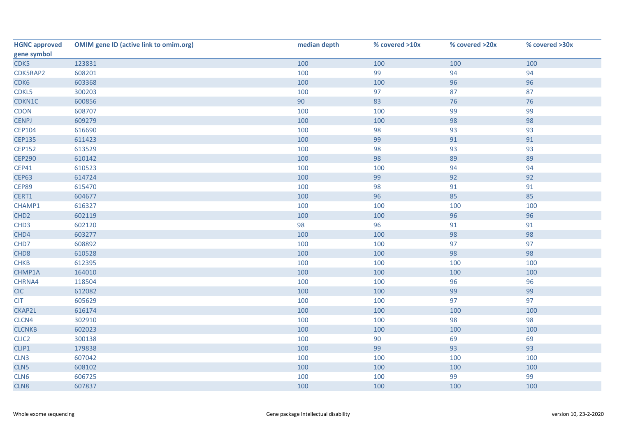| <b>HGNC approved</b> | <b>OMIM gene ID (active link to omim.org)</b> | median depth | % covered >10x | % covered >20x | % covered >30x |
|----------------------|-----------------------------------------------|--------------|----------------|----------------|----------------|
| gene symbol          |                                               |              |                |                |                |
| CDK5                 | 123831                                        | 100          | 100            | 100            | 100            |
| CDK5RAP2             | 608201                                        | 100          | 99             | 94             | 94             |
| CDK6                 | 603368                                        | 100          | 100            | 96             | 96             |
| CDKL5                | 300203                                        | 100          | 97             | 87             | 87             |
| CDKN1C               | 600856                                        | 90           | 83             | 76             | 76             |
| CDON                 | 608707                                        | 100          | 100            | 99             | 99             |
| <b>CENPJ</b>         | 609279                                        | 100          | 100            | 98             | 98             |
| <b>CEP104</b>        | 616690                                        | 100          | 98             | 93             | 93             |
| <b>CEP135</b>        | 611423                                        | 100          | 99             | 91             | 91             |
| <b>CEP152</b>        | 613529                                        | 100          | 98             | 93             | 93             |
| <b>CEP290</b>        | 610142                                        | 100          | 98             | 89             | 89             |
| <b>CEP41</b>         | 610523                                        | 100          | 100            | 94             | 94             |
| <b>CEP63</b>         | 614724                                        | 100          | 99             | 92             | 92             |
| <b>CEP89</b>         | 615470                                        | 100          | 98             | 91             | 91             |
| CERT1                | 604677                                        | 100          | 96             | 85             | 85             |
| CHAMP1               | 616327                                        | 100          | 100            | 100            | 100            |
| CHD <sub>2</sub>     | 602119                                        | 100          | 100            | 96             | 96             |
| CHD <sub>3</sub>     | 602120                                        | 98           | 96             | 91             | 91             |
| CHD4                 | 603277                                        | 100          | 100            | 98             | 98             |
| CHD7                 | 608892                                        | 100          | 100            | 97             | 97             |
| CHD <sub>8</sub>     | 610528                                        | 100          | 100            | 98             | 98             |
| <b>CHKB</b>          | 612395                                        | 100          | 100            | 100            | 100            |
| CHMP1A               | 164010                                        | 100          | 100            | 100            | 100            |
| CHRNA4               | 118504                                        | 100          | 100            | 96             | 96             |
| <b>CIC</b>           | 612082                                        | 100          | 100            | 99             | 99             |
| <b>CIT</b>           | 605629                                        | 100          | 100            | 97             | 97             |
| CKAP2L               | 616174                                        | 100          | 100            | 100            | 100            |
| CLCN4                | 302910                                        | 100          | 100            | 98             | 98             |
| <b>CLCNKB</b>        | 602023                                        | 100          | 100            | 100            | 100            |
| CLIC <sub>2</sub>    | 300138                                        | 100          | 90             | 69             | 69             |
| CLIP1                | 179838                                        | 100          | 99             | 93             | 93             |
| CLN3                 | 607042                                        | 100          | 100            | 100            | 100            |
| CLN5                 | 608102                                        | 100          | 100            | 100            | 100            |
| CLN6                 | 606725                                        | 100          | 100            | 99             | 99             |
| CLN8                 | 607837                                        | 100          | 100            | 100            | 100            |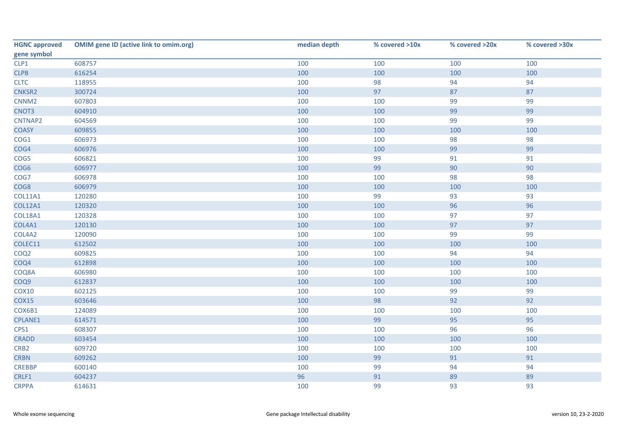| <b>HGNC approved</b> | <b>OMIM gene ID (active link to omim.org)</b> | median depth | % covered >10x | % covered >20x | % covered >30x |
|----------------------|-----------------------------------------------|--------------|----------------|----------------|----------------|
| gene symbol          |                                               |              |                |                |                |
| CLP1                 | 608757                                        | 100          | 100            | 100            | 100            |
| CLPB                 | 616254                                        | 100          | 100            | 100            | 100            |
| <b>CLTC</b>          | 118955                                        | 100          | 98             | 94             | 94             |
| CNKSR2               | 300724                                        | 100          | 97             | 87             | 87             |
| CNNM <sub>2</sub>    | 607803                                        | 100          | 100            | 99             | 99             |
| CNOT3                | 604910                                        | 100          | 100            | 99             | 99             |
| CNTNAP2              | 604569                                        | 100          | 100            | 99             | 99             |
| <b>COASY</b>         | 609855                                        | 100          | 100            | 100            | 100            |
| COG1                 | 606973                                        | 100          | 100            | 98             | 98             |
| COG4                 | 606976                                        | 100          | 100            | 99             | 99             |
| COG5                 | 606821                                        | 100          | 99             | 91             | 91             |
| COG6                 | 606977                                        | 100          | 99             | 90             | 90             |
| COG7                 | 606978                                        | 100          | 100            | 98             | 98             |
| COG8                 | 606979                                        | 100          | 100            | 100            | 100            |
| <b>COL11A1</b>       | 120280                                        | 100          | 99             | 93             | 93             |
| <b>COL12A1</b>       | 120320                                        | 100          | 100            | 96             | 96             |
| <b>COL18A1</b>       | 120328                                        | 100          | 100            | 97             | 97             |
| COL4A1               | 120130                                        | 100          | 100            | 97             | 97             |
| COL4A2               | 120090                                        | 100          | 100            | 99             | 99             |
| COLEC11              | 612502                                        | 100          | 100            | 100            | 100            |
| COQ <sub>2</sub>     | 609825                                        | 100          | 100            | 94             | 94             |
| COQ4                 | 612898                                        | 100          | 100            | 100            | 100            |
| COQ8A                | 606980                                        | 100          | 100            | 100            | 100            |
| COQ9                 | 612837                                        | 100          | 100            | 100            | 100            |
| <b>COX10</b>         | 602125                                        | 100          | 100            | 99             | 99             |
| <b>COX15</b>         | 603646                                        | 100          | 98             | 92             | 92             |
| COX6B1               | 124089                                        | 100          | 100            | 100            | 100            |
| CPLANE1              | 614571                                        | 100          | 99             | 95             | 95             |
| CPS1                 | 608307                                        | 100          | 100            | 96             | 96             |
| <b>CRADD</b>         | 603454                                        | 100          | 100            | 100            | 100            |
| CRB <sub>2</sub>     | 609720                                        | 100          | 100            | 100            | 100            |
| <b>CRBN</b>          | 609262                                        | 100          | 99             | 91             | 91             |
| <b>CREBBP</b>        | 600140                                        | 100          | 99             | 94             | 94             |
| CRLF1                | 604237                                        | 96           | 91             | 89             | 89             |
| <b>CRPPA</b>         | 614631                                        | 100          | 99             | 93             | 93             |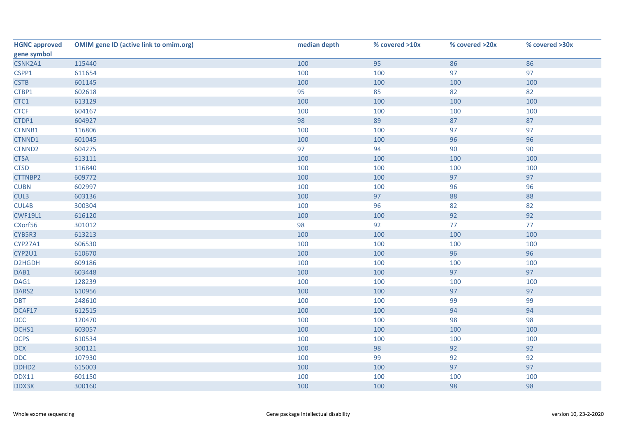| <b>HGNC approved</b> | <b>OMIM gene ID (active link to omim.org)</b> | median depth | % covered >10x | % covered >20x | % covered >30x |
|----------------------|-----------------------------------------------|--------------|----------------|----------------|----------------|
| gene symbol          |                                               |              |                |                |                |
| CSNK2A1              | 115440                                        | 100          | 95             | 86             | 86             |
| CSPP1                | 611654                                        | 100          | 100            | 97             | 97             |
| <b>CSTB</b>          | 601145                                        | 100          | 100            | 100            | 100            |
| CTBP1                | 602618                                        | 95           | 85             | 82             | 82             |
| CTC1                 | 613129                                        | 100          | 100            | 100            | 100            |
| <b>CTCF</b>          | 604167                                        | 100          | 100            | 100            | 100            |
| CTDP1                | 604927                                        | 98           | 89             | 87             | 87             |
| CTNNB1               | 116806                                        | 100          | 100            | 97             | 97             |
| CTNND1               | 601045                                        | 100          | 100            | 96             | 96             |
| CTNND2               | 604275                                        | 97           | 94             | 90             | 90             |
| <b>CTSA</b>          | 613111                                        | 100          | 100            | 100            | 100            |
| <b>CTSD</b>          | 116840                                        | 100          | 100            | 100            | 100            |
| CTTNBP2              | 609772                                        | 100          | 100            | 97             | 97             |
| <b>CUBN</b>          | 602997                                        | 100          | 100            | 96             | 96             |
| CUL3                 | 603136                                        | 100          | 97             | 88             | 88             |
| CUL4B                | 300304                                        | 100          | 96             | 82             | 82             |
| <b>CWF19L1</b>       | 616120                                        | 100          | 100            | 92             | 92             |
| CXorf56              | 301012                                        | 98           | 92             | 77             | 77             |
| CYB5R3               | 613213                                        | 100          | 100            | 100            | 100            |
| CYP27A1              | 606530                                        | 100          | 100            | 100            | 100            |
| CYP2U1               | 610670                                        | 100          | 100            | 96             | 96             |
| D2HGDH               | 609186                                        | 100          | 100            | 100            | 100            |
| DAB1                 | 603448                                        | 100          | 100            | 97             | 97             |
| DAG1                 | 128239                                        | 100          | 100            | 100            | 100            |
| DARS2                | 610956                                        | 100          | 100            | 97             | 97             |
| <b>DBT</b>           | 248610                                        | 100          | 100            | 99             | 99             |
| DCAF17               | 612515                                        | 100          | 100            | 94             | 94             |
| <b>DCC</b>           | 120470                                        | 100          | 100            | 98             | 98             |
| DCHS1                | 603057                                        | 100          | 100            | 100            | 100            |
| <b>DCPS</b>          | 610534                                        | 100          | 100            | 100            | 100            |
| <b>DCX</b>           | 300121                                        | 100          | 98             | 92             | 92             |
| DDC                  | 107930                                        | 100          | 99             | 92             | 92             |
| DDHD <sub>2</sub>    | 615003                                        | 100          | 100            | 97             | 97             |
| <b>DDX11</b>         | 601150                                        | 100          | 100            | 100            | 100            |
| DDX3X                | 300160                                        | 100          | 100            | 98             | 98             |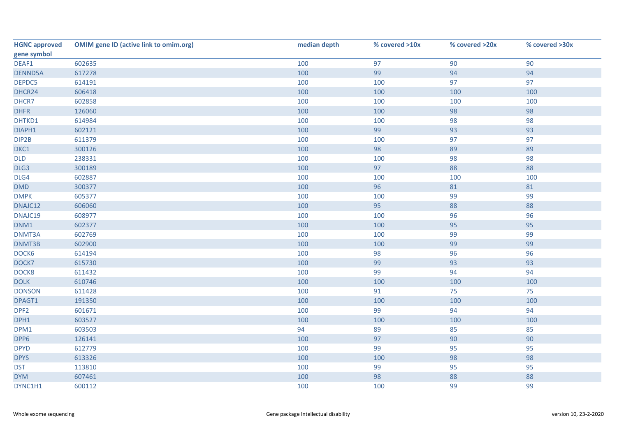| <b>HGNC approved</b> | <b>OMIM gene ID (active link to omim.org)</b> | median depth | % covered >10x | % covered >20x | % covered >30x |
|----------------------|-----------------------------------------------|--------------|----------------|----------------|----------------|
| gene symbol          |                                               |              |                |                |                |
| DEAF1                | 602635                                        | 100          | 97             | 90             | 90             |
| DENND5A              | 617278                                        | 100          | 99             | 94             | 94             |
| DEPDC5               | 614191                                        | 100          | 100            | 97             | 97             |
| DHCR24               | 606418                                        | 100          | 100            | 100            | 100            |
| DHCR7                | 602858                                        | 100          | 100            | 100            | 100            |
| <b>DHFR</b>          | 126060                                        | 100          | 100            | 98             | 98             |
| DHTKD1               | 614984                                        | 100          | 100            | 98             | 98             |
| DIAPH1               | 602121                                        | 100          | 99             | 93             | 93             |
| DIP2B                | 611379                                        | 100          | 100            | 97             | 97             |
| DKC1                 | 300126                                        | 100          | 98             | 89             | 89             |
| <b>DLD</b>           | 238331                                        | 100          | 100            | 98             | 98             |
| DLG3                 | 300189                                        | 100          | 97             | 88             | 88             |
| DLG4                 | 602887                                        | 100          | 100            | 100            | 100            |
| DMD                  | 300377                                        | 100          | 96             | 81             | 81             |
| <b>DMPK</b>          | 605377                                        | 100          | 100            | 99             | 99             |
| DNAJC12              | 606060                                        | 100          | 95             | 88             | 88             |
| DNAJC19              | 608977                                        | 100          | 100            | 96             | 96             |
| DNM1                 | 602377                                        | 100          | 100            | 95             | 95             |
| DNMT3A               | 602769                                        | 100          | 100            | 99             | 99             |
| DNMT3B               | 602900                                        | 100          | 100            | 99             | 99             |
| DOCK6                | 614194                                        | 100          | 98             | 96             | 96             |
| DOCK7                | 615730                                        | 100          | 99             | 93             | 93             |
| DOCK8                | 611432                                        | 100          | 99             | 94             | 94             |
| <b>DOLK</b>          | 610746                                        | 100          | 100            | 100            | 100            |
| <b>DONSON</b>        | 611428                                        | 100          | 91             | 75             | 75             |
| DPAGT1               | 191350                                        | 100          | 100            | 100            | 100            |
| DPF <sub>2</sub>     | 601671                                        | 100          | 99             | 94             | 94             |
| DPH1                 | 603527                                        | 100          | 100            | 100            | 100            |
| DPM1                 | 603503                                        | 94           | 89             | 85             | 85             |
| DPP6                 | 126141                                        | 100          | 97             | 90             | 90             |
| <b>DPYD</b>          | 612779                                        | 100          | 99             | 95             | 95             |
| <b>DPYS</b>          | 613326                                        | 100          | 100            | 98             | 98             |
| <b>DST</b>           | 113810                                        | 100          | 99             | 95             | 95             |
| <b>DYM</b>           | 607461                                        | 100          | 98             | 88             | 88             |
| DYNC1H1              | 600112                                        | 100          | 100            | 99             | 99             |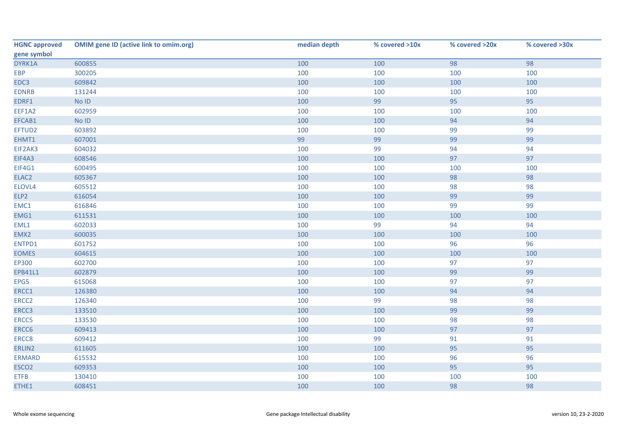| <b>HGNC approved</b> | <b>OMIM gene ID (active link to omim.org)</b> | median depth | % covered >10x | % covered >20x | % covered >30x |
|----------------------|-----------------------------------------------|--------------|----------------|----------------|----------------|
| gene symbol          |                                               |              |                |                |                |
| DYRK1A               | 600855                                        | 100          | 100            | 98             | 98             |
| <b>EBP</b>           | 300205                                        | 100          | 100            | 100            | 100            |
| EDC3                 | 609842                                        | 100          | 100            | 100            | 100            |
| <b>EDNRB</b>         | 131244                                        | 100          | 100            | 100            | 100            |
| EDRF1                | No ID                                         | 100          | 99             | 95             | 95             |
| EEF1A2               | 602959                                        | 100          | 100            | 100            | 100            |
| EFCAB1               | No ID                                         | 100          | 100            | 94             | 94             |
| EFTUD2               | 603892                                        | 100          | 100            | 99             | 99             |
| EHMT1                | 607001                                        | 99           | 99             | 99             | 99             |
| EIF2AK3              | 604032                                        | 100          | 99             | 94             | 94             |
| EIF4A3               | 608546                                        | 100          | 100            | 97             | 97             |
| EIF4G1               | 600495                                        | 100          | 100            | 100            | 100            |
| ELAC <sub>2</sub>    | 605367                                        | 100          | 100            | 98             | 98             |
| ELOVL4               | 605512                                        | 100          | 100            | 98             | 98             |
| ELP2                 | 616054                                        | 100          | 100            | 99             | 99             |
| EMC1                 | 616846                                        | 100          | 100            | 99             | 99             |
| EMG1                 | 611531                                        | 100          | 100            | 100            | 100            |
| EML1                 | 602033                                        | 100          | 99             | 94             | 94             |
| EMX2                 | 600035                                        | 100          | 100            | 100            | 100            |
| ENTPD1               | 601752                                        | 100          | 100            | 96             | 96             |
| <b>EOMES</b>         | 604615                                        | 100          | 100            | 100            | 100            |
| EP300                | 602700                                        | 100          | 100            | 97             | 97             |
| EPB41L1              | 602879                                        | 100          | 100            | 99             | 99             |
| EPG5                 | 615068                                        | 100          | 100            | 97             | 97             |
| ERCC1                | 126380                                        | 100          | 100            | 94             | 94             |
| ERCC <sub>2</sub>    | 126340                                        | 100          | 99             | 98             | 98             |
| ERCC3                | 133510                                        | 100          | 100            | 99             | 99             |
| ERCC5                | 133530                                        | 100          | 100            | 98             | 98             |
| ERCC6                | 609413                                        | 100          | 100            | 97             | 97             |
| ERCC8                | 609412                                        | 100          | 99             | 91             | 91             |
| ERLIN2               | 611605                                        | 100          | 100            | 95             | 95             |
| <b>ERMARD</b>        | 615532                                        | 100          | 100            | 96             | 96             |
| ESCO <sub>2</sub>    | 609353                                        | 100          | 100            | 95             | 95             |
| <b>ETFB</b>          | 130410                                        | 100          | 100            | 100            | 100            |
| ETHE1                | 608451                                        | 100          | 100            | 98             | 98             |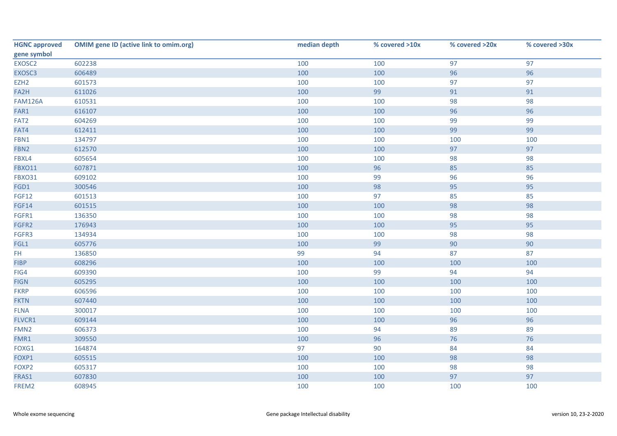| <b>HGNC approved</b> | <b>OMIM gene ID (active link to omim.org)</b> | median depth | % covered >10x | % covered >20x | % covered >30x |
|----------------------|-----------------------------------------------|--------------|----------------|----------------|----------------|
| gene symbol          |                                               |              |                |                |                |
| EXOSC2               | 602238                                        | 100          | 100            | 97             | 97             |
| EXOSC3               | 606489                                        | 100          | 100            | 96             | 96             |
| EZH <sub>2</sub>     | 601573                                        | 100          | 100            | 97             | 97             |
| FA2H                 | 611026                                        | 100          | 99             | 91             | 91             |
| <b>FAM126A</b>       | 610531                                        | 100          | 100            | 98             | 98             |
| FAR1                 | 616107                                        | 100          | 100            | 96             | 96             |
| FAT <sub>2</sub>     | 604269                                        | 100          | 100            | 99             | 99             |
| FAT4                 | 612411                                        | 100          | 100            | 99             | 99             |
| FBN1                 | 134797                                        | 100          | 100            | 100            | 100            |
| FBN2                 | 612570                                        | 100          | 100            | 97             | 97             |
| FBXL4                | 605654                                        | 100          | 100            | 98             | 98             |
| <b>FBXO11</b>        | 607871                                        | 100          | 96             | 85             | 85             |
| <b>FBXO31</b>        | 609102                                        | 100          | 99             | 96             | 96             |
| FGD1                 | 300546                                        | 100          | 98             | 95             | 95             |
| <b>FGF12</b>         | 601513                                        | 100          | 97             | 85             | 85             |
| <b>FGF14</b>         | 601515                                        | 100          | 100            | 98             | 98             |
| FGFR1                | 136350                                        | 100          | 100            | 98             | 98             |
| FGFR2                | 176943                                        | 100          | 100            | 95             | 95             |
| FGFR3                | 134934                                        | 100          | 100            | 98             | 98             |
| FGL1                 | 605776                                        | 100          | 99             | 90             | 90             |
| FH.                  | 136850                                        | 99           | 94             | 87             | 87             |
| <b>FIBP</b>          | 608296                                        | 100          | 100            | 100            | 100            |
| FIG4                 | 609390                                        | 100          | 99             | 94             | 94             |
| <b>FIGN</b>          | 605295                                        | 100          | 100            | 100            | 100            |
| <b>FKRP</b>          | 606596                                        | 100          | 100            | 100            | 100            |
| <b>FKTN</b>          | 607440                                        | 100          | 100            | 100            | 100            |
| <b>FLNA</b>          | 300017                                        | 100          | 100            | 100            | 100            |
| FLVCR1               | 609144                                        | 100          | 100            | 96             | 96             |
| FMN <sub>2</sub>     | 606373                                        | 100          | 94             | 89             | 89             |
| FMR1                 | 309550                                        | 100          | 96             | 76             | 76             |
| FOXG1                | 164874                                        | 97           | 90             | 84             | 84             |
| FOXP1                | 605515                                        | 100          | 100            | 98             | 98             |
| FOXP2                | 605317                                        | 100          | 100            | 98             | 98             |
| FRAS1                | 607830                                        | 100          | 100            | 97             | 97             |
| FREM2                | 608945                                        | 100          | 100            | 100            | 100            |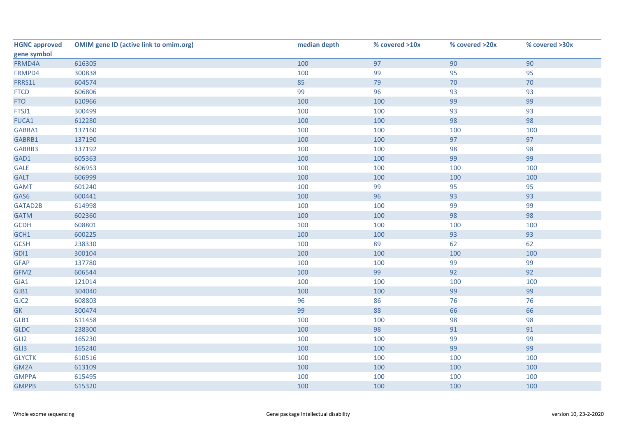| <b>HGNC approved</b> | <b>OMIM gene ID (active link to omim.org)</b> | median depth | % covered >10x | % covered >20x | % covered >30x |
|----------------------|-----------------------------------------------|--------------|----------------|----------------|----------------|
| gene symbol          |                                               |              |                |                |                |
| FRMD4A               | 616305                                        | 100          | 97             | 90             | 90             |
| FRMPD4               | 300838                                        | 100          | 99             | 95             | 95             |
| FRRS1L               | 604574                                        | 85           | 79             | 70             | 70             |
| <b>FTCD</b>          | 606806                                        | 99           | 96             | 93             | 93             |
| <b>FTO</b>           | 610966                                        | 100          | 100            | 99             | 99             |
| FTSJ1                | 300499                                        | 100          | 100            | 93             | 93             |
| <b>FUCA1</b>         | 612280                                        | 100          | 100            | 98             | 98             |
| GABRA1               | 137160                                        | 100          | 100            | 100            | 100            |
| GABRB1               | 137190                                        | 100          | 100            | 97             | 97             |
| GABRB3               | 137192                                        | 100          | 100            | 98             | 98             |
| GAD1                 | 605363                                        | 100          | 100            | 99             | 99             |
| <b>GALE</b>          | 606953                                        | 100          | 100            | 100            | 100            |
| <b>GALT</b>          | 606999                                        | 100          | 100            | 100            | 100            |
| <b>GAMT</b>          | 601240                                        | 100          | 99             | 95             | 95             |
| GAS6                 | 600441                                        | 100          | 96             | 93             | 93             |
| GATAD2B              | 614998                                        | 100          | 100            | 99             | 99             |
| <b>GATM</b>          | 602360                                        | 100          | 100            | 98             | 98             |
| <b>GCDH</b>          | 608801                                        | 100          | 100            | 100            | 100            |
| GCH1                 | 600225                                        | 100          | 100            | 93             | 93             |
| <b>GCSH</b>          | 238330                                        | 100          | 89             | 62             | 62             |
| GDI1                 | 300104                                        | 100          | 100            | 100            | 100            |
| <b>GFAP</b>          | 137780                                        | 100          | 100            | 99             | 99             |
| GFM2                 | 606544                                        | 100          | 99             | 92             | 92             |
| GJA1                 | 121014                                        | 100          | 100            | 100            | 100            |
| GJB1                 | 304040                                        | 100          | 100            | 99             | 99             |
| GJC <sub>2</sub>     | 608803                                        | 96           | 86             | 76             | 76             |
| GK                   | 300474                                        | 99           | 88             | 66             | 66             |
| GLB1                 | 611458                                        | 100          | 100            | 98             | 98             |
| <b>GLDC</b>          | 238300                                        | 100          | 98             | 91             | 91             |
| GLI <sub>2</sub>     | 165230                                        | 100          | 100            | 99             | 99             |
| GLI3                 | 165240                                        | 100          | 100            | 99             | 99             |
| <b>GLYCTK</b>        | 610516                                        | 100          | 100            | 100            | 100            |
| GM2A                 | 613109                                        | 100          | 100            | 100            | 100            |
| <b>GMPPA</b>         | 615495                                        | 100          | 100            | 100            | 100            |
| <b>GMPPB</b>         | 615320                                        | 100          | 100            | 100            | 100            |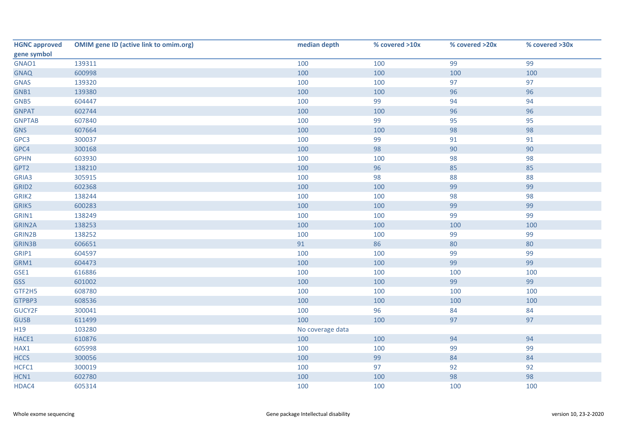| <b>HGNC approved</b> | <b>OMIM gene ID (active link to omim.org)</b> | median depth     | % covered >10x | % covered >20x | % covered >30x |
|----------------------|-----------------------------------------------|------------------|----------------|----------------|----------------|
| gene symbol          |                                               |                  |                |                |                |
| GNAO1                | 139311                                        | 100              | 100            | 99             | 99             |
| <b>GNAQ</b>          | 600998                                        | 100              | 100            | 100            | 100            |
| <b>GNAS</b>          | 139320                                        | 100              | 100            | 97             | 97             |
| GNB1                 | 139380                                        | 100              | 100            | 96             | 96             |
| GNB5                 | 604447                                        | 100              | 99             | 94             | 94             |
| <b>GNPAT</b>         | 602744                                        | 100              | 100            | 96             | 96             |
| <b>GNPTAB</b>        | 607840                                        | 100              | 99             | 95             | 95             |
| <b>GNS</b>           | 607664                                        | 100              | 100            | 98             | 98             |
| GPC3                 | 300037                                        | 100              | 99             | 91             | 91             |
| GPC4                 | 300168                                        | 100              | 98             | 90             | 90             |
| <b>GPHN</b>          | 603930                                        | 100              | 100            | 98             | 98             |
| GPT2                 | 138210                                        | 100              | 96             | 85             | 85             |
| GRIA3                | 305915                                        | 100              | 98             | 88             | 88             |
| GRID <sub>2</sub>    | 602368                                        | 100              | 100            | 99             | 99             |
| GRIK2                | 138244                                        | 100              | 100            | 98             | 98             |
| <b>GRIK5</b>         | 600283                                        | 100              | 100            | 99             | 99             |
| GRIN1                | 138249                                        | 100              | 100            | 99             | 99             |
| GRIN2A               | 138253                                        | 100              | 100            | 100            | 100            |
| GRIN2B               | 138252                                        | 100              | 100            | 99             | 99             |
| <b>GRIN3B</b>        | 606651                                        | 91               | 86             | 80             | 80             |
| GRIP1                | 604597                                        | 100              | 100            | 99             | 99             |
| GRM1                 | 604473                                        | 100              | 100            | 99             | 99             |
| GSE1                 | 616886                                        | 100              | 100            | 100            | 100            |
| <b>GSS</b>           | 601002                                        | 100              | 100            | 99             | 99             |
| GTF2H5               | 608780                                        | 100              | 100            | 100            | 100            |
| GTPBP3               | 608536                                        | 100              | 100            | 100            | 100            |
| GUCY2F               | 300041                                        | 100              | 96             | 84             | 84             |
| <b>GUSB</b>          | 611499                                        | 100              | 100            | 97             | 97             |
| H <sub>19</sub>      | 103280                                        | No coverage data |                |                |                |
| HACE1                | 610876                                        | 100              | 100            | 94             | 94             |
| HAX1                 | 605998                                        | 100              | 100            | 99             | 99             |
| <b>HCCS</b>          | 300056                                        | 100              | 99             | 84             | 84             |
| HCFC1                | 300019                                        | 100              | 97             | 92             | 92             |
| HCN1                 | 602780                                        | 100              | 100            | 98             | 98             |
| HDAC4                | 605314                                        | 100              | 100            | 100            | 100            |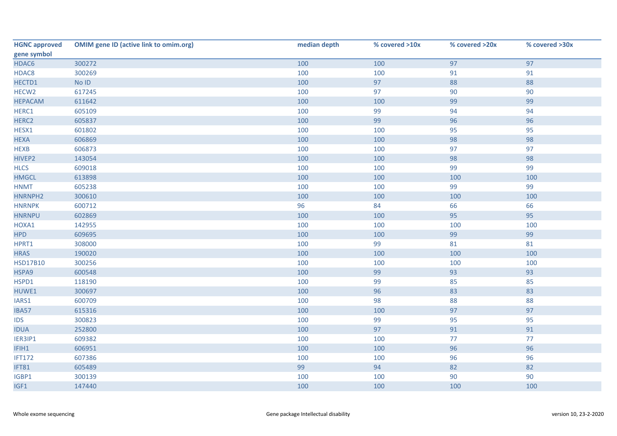| <b>HGNC approved</b> | <b>OMIM gene ID (active link to omim.org)</b> | median depth | % covered >10x | % covered >20x | % covered >30x |
|----------------------|-----------------------------------------------|--------------|----------------|----------------|----------------|
| gene symbol          |                                               |              |                |                |                |
| HDAC6                | 300272                                        | 100          | 100            | 97             | 97             |
| HDAC8                | 300269                                        | 100          | 100            | 91             | 91             |
| HECTD1               | No ID                                         | 100          | 97             | 88             | 88             |
| HECW <sub>2</sub>    | 617245                                        | 100          | 97             | 90             | 90             |
| <b>HEPACAM</b>       | 611642                                        | 100          | 100            | 99             | 99             |
| HERC1                | 605109                                        | 100          | 99             | 94             | 94             |
| HERC <sub>2</sub>    | 605837                                        | 100          | 99             | 96             | 96             |
| HESX1                | 601802                                        | 100          | 100            | 95             | 95             |
| <b>HEXA</b>          | 606869                                        | 100          | 100            | 98             | 98             |
| <b>HEXB</b>          | 606873                                        | 100          | 100            | 97             | 97             |
| HIVEP2               | 143054                                        | 100          | 100            | 98             | 98             |
| <b>HLCS</b>          | 609018                                        | 100          | 100            | 99             | 99             |
| <b>HMGCL</b>         | 613898                                        | 100          | 100            | 100            | 100            |
| <b>HNMT</b>          | 605238                                        | 100          | 100            | 99             | 99             |
| HNRNPH2              | 300610                                        | 100          | 100            | 100            | 100            |
| <b>HNRNPK</b>        | 600712                                        | 96           | 84             | 66             | 66             |
| <b>HNRNPU</b>        | 602869                                        | 100          | 100            | 95             | 95             |
| HOXA1                | 142955                                        | 100          | 100            | 100            | 100            |
| <b>HPD</b>           | 609695                                        | 100          | 100            | 99             | 99             |
| HPRT1                | 308000                                        | 100          | 99             | 81             | 81             |
| <b>HRAS</b>          | 190020                                        | 100          | 100            | 100            | 100            |
| <b>HSD17B10</b>      | 300256                                        | 100          | 100            | 100            | 100            |
| HSPA9                | 600548                                        | 100          | 99             | 93             | 93             |
| HSPD1                | 118190                                        | 100          | 99             | 85             | 85             |
| HUWE1                | 300697                                        | 100          | 96             | 83             | 83             |
| IARS1                | 600709                                        | 100          | 98             | 88             | 88             |
| IBA57                | 615316                                        | 100          | 100            | 97             | 97             |
| <b>IDS</b>           | 300823                                        | 100          | 99             | 95             | 95             |
| <b>IDUA</b>          | 252800                                        | 100          | 97             | 91             | 91             |
| IER3IP1              | 609382                                        | 100          | 100            | $77$           | 77             |
| IFIH1                | 606951                                        | 100          | 100            | 96             | 96             |
| <b>IFT172</b>        | 607386                                        | 100          | 100            | 96             | 96             |
| IFT81                | 605489                                        | 99           | 94             | 82             | 82             |
| IGBP1                | 300139                                        | 100          | 100            | 90             | 90             |
| IGF1                 | 147440                                        | 100          | 100            | 100            | 100            |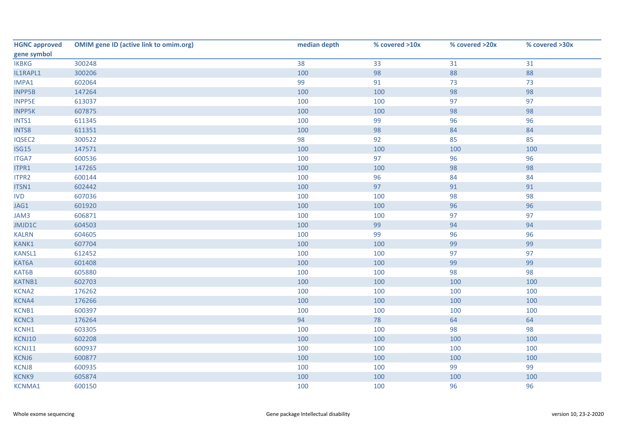| <b>HGNC approved</b> | <b>OMIM gene ID (active link to omim.org)</b> | median depth | % covered >10x | % covered >20x | % covered >30x |
|----------------------|-----------------------------------------------|--------------|----------------|----------------|----------------|
| gene symbol          |                                               |              |                |                |                |
| <b>IKBKG</b>         | 300248                                        | 38           | 33             | 31             | 31             |
| IL1RAPL1             | 300206                                        | 100          | 98             | 88             | 88             |
| IMPA1                | 602064                                        | 99           | 91             | 73             | 73             |
| <b>INPP5B</b>        | 147264                                        | 100          | 100            | 98             | 98             |
| <b>INPP5E</b>        | 613037                                        | 100          | 100            | 97             | 97             |
| <b>INPP5K</b>        | 607875                                        | 100          | 100            | 98             | 98             |
| INTS1                | 611345                                        | 100          | 99             | 96             | 96             |
| INTS8                | 611351                                        | 100          | 98             | 84             | 84             |
| IQSEC2               | 300522                                        | 98           | 92             | 85             | 85             |
| ISG15                | 147571                                        | 100          | 100            | 100            | 100            |
| <b>ITGA7</b>         | 600536                                        | 100          | 97             | 96             | 96             |
| ITPR1                | 147265                                        | 100          | 100            | 98             | 98             |
| ITPR2                | 600144                                        | 100          | 96             | 84             | 84             |
| ITSN1                | 602442                                        | 100          | 97             | 91             | 91             |
| <b>IVD</b>           | 607036                                        | 100          | 100            | 98             | 98             |
| JAG1                 | 601920                                        | 100          | 100            | 96             | 96             |
| JAM3                 | 606871                                        | 100          | 100            | 97             | 97             |
| JMJD1C               | 604503                                        | 100          | 99             | 94             | 94             |
| <b>KALRN</b>         | 604605                                        | 100          | 99             | 96             | 96             |
| KANK1                | 607704                                        | 100          | 100            | 99             | 99             |
| KANSL1               | 612452                                        | 100          | 100            | 97             | 97             |
| KAT6A                | 601408                                        | 100          | 100            | 99             | 99             |
| KAT6B                | 605880                                        | 100          | 100            | 98             | 98             |
| <b>KATNB1</b>        | 602703                                        | 100          | 100            | 100            | 100            |
| <b>KCNA2</b>         | 176262                                        | 100          | 100            | 100            | 100            |
| KCNA4                | 176266                                        | 100          | 100            | 100            | 100            |
| KCNB1                | 600397                                        | 100          | 100            | 100            | 100            |
| KCNC3                | 176264                                        | 94           | 78             | 64             | 64             |
| KCNH1                | 603305                                        | 100          | 100            | 98             | 98             |
| KCNJ10               | 602208                                        | 100          | 100            | 100            | 100            |
| KCNJ11               | 600937                                        | 100          | 100            | 100            | 100            |
| KCNJ6                | 600877                                        | 100          | 100            | 100            | 100            |
| <b>KCNJ8</b>         | 600935                                        | 100          | 100            | 99             | 99             |
| KCNK9                | 605874                                        | 100          | 100            | 100            | 100            |
| <b>KCNMA1</b>        | 600150                                        | 100          | 100            | 96             | 96             |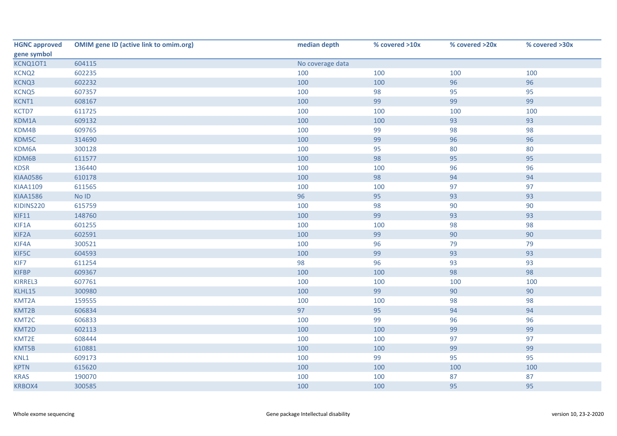| <b>HGNC approved</b> | <b>OMIM gene ID (active link to omim.org)</b> | median depth     | % covered >10x | % covered >20x | % covered >30x |
|----------------------|-----------------------------------------------|------------------|----------------|----------------|----------------|
| gene symbol          |                                               |                  |                |                |                |
| KCNQ10T1             | 604115                                        | No coverage data |                |                |                |
| KCNQ <sub>2</sub>    | 602235                                        | 100              | 100            | 100            | 100            |
| KCNQ3                | 602232                                        | 100              | 100            | 96             | 96             |
| KCNQ5                | 607357                                        | 100              | 98             | 95             | 95             |
| KCNT1                | 608167                                        | 100              | 99             | 99             | 99             |
| KCTD7                | 611725                                        | 100              | 100            | 100            | 100            |
| KDM1A                | 609132                                        | 100              | 100            | 93             | 93             |
| KDM4B                | 609765                                        | 100              | 99             | 98             | 98             |
| KDM5C                | 314690                                        | 100              | 99             | 96             | 96             |
| KDM6A                | 300128                                        | 100              | 95             | 80             | 80             |
| KDM6B                | 611577                                        | 100              | 98             | 95             | 95             |
| <b>KDSR</b>          | 136440                                        | 100              | 100            | 96             | 96             |
| <b>KIAA0586</b>      | 610178                                        | 100              | 98             | 94             | 94             |
| KIAA1109             | 611565                                        | 100              | 100            | 97             | 97             |
| <b>KIAA1586</b>      | No ID                                         | 96               | 95             | 93             | 93             |
| KIDINS220            | 615759                                        | 100              | 98             | 90             | 90             |
| <b>KIF11</b>         | 148760                                        | 100              | 99             | 93             | 93             |
| KIF1A                | 601255                                        | 100              | 100            | 98             | 98             |
| KIF2A                | 602591                                        | 100              | 99             | 90             | 90             |
| KIF4A                | 300521                                        | 100              | 96             | 79             | 79             |
| KIF5C                | 604593                                        | 100              | 99             | 93             | 93             |
| KIF7                 | 611254                                        | 98               | 96             | 93             | 93             |
| <b>KIFBP</b>         | 609367                                        | 100              | 100            | 98             | 98             |
| KIRREL3              | 607761                                        | 100              | 100            | 100            | 100            |
| KLHL15               | 300980                                        | 100              | 99             | 90             | 90             |
| KMT2A                | 159555                                        | 100              | 100            | 98             | 98             |
| KMT2B                | 606834                                        | 97               | 95             | 94             | 94             |
| KMT2C                | 606833                                        | 100              | 99             | 96             | 96             |
| KMT2D                | 602113                                        | 100              | 100            | 99             | 99             |
| KMT2E                | 608444                                        | 100              | 100            | 97             | 97             |
| KMT5B                | 610881                                        | 100              | 100            | 99             | 99             |
| KNL1                 | 609173                                        | 100              | 99             | 95             | 95             |
| <b>KPTN</b>          | 615620                                        | 100              | 100            | 100            | 100            |
| <b>KRAS</b>          | 190070                                        | 100              | 100            | 87             | 87             |
| KRBOX4               | 300585                                        | 100              | 100            | 95             | 95             |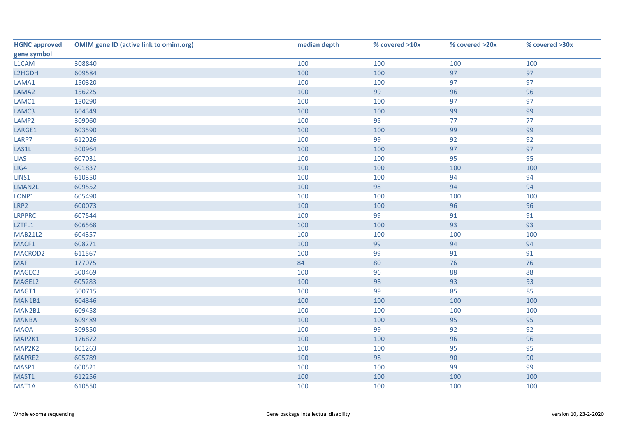| <b>HGNC approved</b> | <b>OMIM gene ID (active link to omim.org)</b> | median depth | % covered >10x | % covered >20x | % covered >30x |
|----------------------|-----------------------------------------------|--------------|----------------|----------------|----------------|
| gene symbol          |                                               |              |                |                |                |
| L1CAM                | 308840                                        | 100          | 100            | 100            | 100            |
| L2HGDH               | 609584                                        | 100          | 100            | 97             | 97             |
| LAMA1                | 150320                                        | 100          | 100            | 97             | 97             |
| LAMA2                | 156225                                        | 100          | 99             | 96             | 96             |
| LAMC1                | 150290                                        | 100          | 100            | 97             | 97             |
| LAMC3                | 604349                                        | 100          | 100            | 99             | 99             |
| LAMP2                | 309060                                        | 100          | 95             | 77             | 77             |
| LARGE1               | 603590                                        | 100          | 100            | 99             | 99             |
| LARP7                | 612026                                        | 100          | 99             | 92             | 92             |
| LAS1L                | 300964                                        | 100          | 100            | 97             | 97             |
| <b>LIAS</b>          | 607031                                        | 100          | 100            | 95             | 95             |
| LIG4                 | 601837                                        | 100          | 100            | 100            | 100            |
| LINS1                | 610350                                        | 100          | 100            | 94             | 94             |
| LMAN2L               | 609552                                        | 100          | 98             | 94             | 94             |
| LONP1                | 605490                                        | 100          | 100            | 100            | 100            |
| LRP2                 | 600073                                        | 100          | 100            | 96             | 96             |
| <b>LRPPRC</b>        | 607544                                        | 100          | 99             | 91             | 91             |
| LZTFL1               | 606568                                        | 100          | 100            | 93             | 93             |
| <b>MAB21L2</b>       | 604357                                        | 100          | 100            | 100            | 100            |
| MACF1                | 608271                                        | 100          | 99             | 94             | 94             |
| MACROD2              | 611567                                        | 100          | 99             | 91             | 91             |
| <b>MAF</b>           | 177075                                        | 84           | 80             | 76             | 76             |
| MAGEC3               | 300469                                        | 100          | 96             | 88             | 88             |
| MAGEL2               | 605283                                        | 100          | 98             | 93             | 93             |
| MAGT1                | 300715                                        | 100          | 99             | 85             | 85             |
| MAN1B1               | 604346                                        | 100          | 100            | 100            | 100            |
| MAN2B1               | 609458                                        | 100          | 100            | 100            | 100            |
| <b>MANBA</b>         | 609489                                        | 100          | 100            | 95             | 95             |
| <b>MAOA</b>          | 309850                                        | 100          | 99             | 92             | 92             |
| MAP2K1               | 176872                                        | 100          | 100            | 96             | 96             |
| MAP2K2               | 601263                                        | 100          | 100            | 95             | 95             |
| MAPRE2               | 605789                                        | 100          | 98             | 90             | 90             |
| MASP1                | 600521                                        | 100          | 100            | 99             | 99             |
| MAST1                | 612256                                        | 100          | 100            | 100            | 100            |
| MAT1A                | 610550                                        | 100          | 100            | 100            | 100            |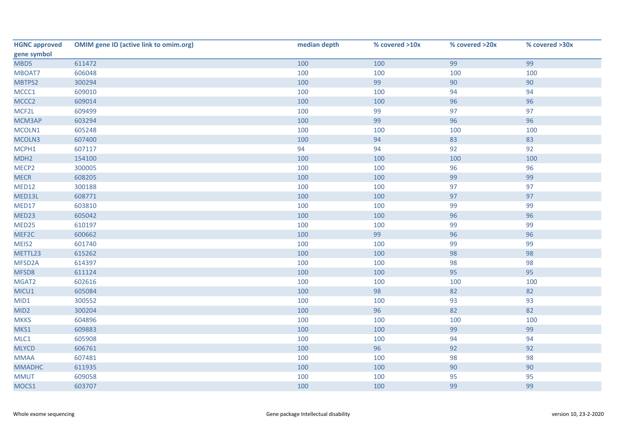| <b>HGNC approved</b> | <b>OMIM gene ID (active link to omim.org)</b> | median depth | % covered >10x | % covered >20x | % covered >30x |
|----------------------|-----------------------------------------------|--------------|----------------|----------------|----------------|
| gene symbol          |                                               |              |                |                |                |
| MBD5                 | 611472                                        | 100          | 100            | 99             | 99             |
| MBOAT7               | 606048                                        | 100          | 100            | 100            | 100            |
| MBTPS2               | 300294                                        | 100          | 99             | 90             | 90             |
| MCCC1                | 609010                                        | 100          | 100            | 94             | 94             |
| MCCC <sub>2</sub>    | 609014                                        | 100          | 100            | 96             | 96             |
| MCF2L                | 609499                                        | 100          | 99             | 97             | 97             |
| MCM3AP               | 603294                                        | 100          | 99             | 96             | 96             |
| MCOLN1               | 605248                                        | 100          | 100            | 100            | 100            |
| MCOLN3               | 607400                                        | 100          | 94             | 83             | 83             |
| MCPH1                | 607117                                        | 94           | 94             | 92             | 92             |
| MDH <sub>2</sub>     | 154100                                        | 100          | 100            | 100            | 100            |
| MECP2                | 300005                                        | 100          | 100            | 96             | 96             |
| <b>MECR</b>          | 608205                                        | 100          | 100            | 99             | 99             |
| MED12                | 300188                                        | 100          | 100            | 97             | 97             |
| MED13L               | 608771                                        | 100          | 100            | 97             | 97             |
| MED17                | 603810                                        | 100          | 100            | 99             | 99             |
| MED23                | 605042                                        | 100          | 100            | 96             | 96             |
| MED25                | 610197                                        | 100          | 100            | 99             | 99             |
| MEF2C                | 600662                                        | 100          | 99             | 96             | 96             |
| MEIS2                | 601740                                        | 100          | 100            | 99             | 99             |
| METTL23              | 615262                                        | 100          | 100            | 98             | 98             |
| MFSD2A               | 614397                                        | 100          | 100            | 98             | 98             |
| MFSD8                | 611124                                        | 100          | 100            | 95             | 95             |
| MGAT2                | 602616                                        | 100          | 100            | 100            | 100            |
| MICU1                | 605084                                        | 100          | 98             | 82             | 82             |
| MID1                 | 300552                                        | 100          | 100            | 93             | 93             |
| MID <sub>2</sub>     | 300204                                        | 100          | 96             | 82             | 82             |
| <b>MKKS</b>          | 604896                                        | 100          | 100            | 100            | 100            |
| MKS1                 | 609883                                        | 100          | 100            | 99             | 99             |
| MLC1                 | 605908                                        | 100          | 100            | 94             | 94             |
| <b>MLYCD</b>         | 606761                                        | 100          | 96             | 92             | 92             |
| <b>MMAA</b>          | 607481                                        | 100          | 100            | 98             | 98             |
| <b>MMADHC</b>        | 611935                                        | 100          | 100            | 90             | 90             |
| <b>MMUT</b>          | 609058                                        | 100          | 100            | 95             | 95             |
| MOCS1                | 603707                                        | 100          | 100            | 99             | 99             |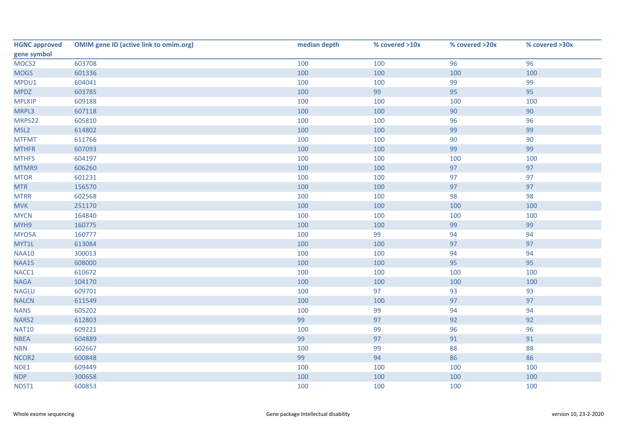| <b>HGNC approved</b> | <b>OMIM gene ID (active link to omim.org)</b> | median depth | % covered >10x | % covered >20x | % covered >30x |
|----------------------|-----------------------------------------------|--------------|----------------|----------------|----------------|
| gene symbol          |                                               |              |                |                |                |
| MOCS <sub>2</sub>    | 603708                                        | 100          | 100            | 96             | 96             |
| <b>MOGS</b>          | 601336                                        | 100          | 100            | 100            | 100            |
| MPDU1                | 604041                                        | 100          | 100            | 99             | 99             |
| <b>MPDZ</b>          | 603785                                        | 100          | 99             | 95             | 95             |
| <b>MPLKIP</b>        | 609188                                        | 100          | 100            | 100            | 100            |
| MRPL3                | 607118                                        | 100          | 100            | 90             | 90             |
| MRPS22               | 605810                                        | 100          | 100            | 96             | 96             |
| MSL <sub>2</sub>     | 614802                                        | 100          | 100            | 99             | 99             |
| <b>MTFMT</b>         | 611766                                        | 100          | 100            | 90             | 90             |
| <b>MTHFR</b>         | 607093                                        | 100          | 100            | 99             | 99             |
| <b>MTHFS</b>         | 604197                                        | 100          | 100            | 100            | 100            |
| MTMR9                | 606260                                        | 100          | 100            | 97             | 97             |
| <b>MTOR</b>          | 601231                                        | 100          | 100            | 97             | 97             |
| <b>MTR</b>           | 156570                                        | 100          | 100            | 97             | 97             |
| <b>MTRR</b>          | 602568                                        | 100          | 100            | 98             | 98             |
| <b>MVK</b>           | 251170                                        | 100          | 100            | 100            | 100            |
| <b>MYCN</b>          | 164840                                        | 100          | 100            | 100            | 100            |
| MYH9                 | 160775                                        | 100          | 100            | 99             | 99             |
| MYO5A                | 160777                                        | 100          | 99             | 94             | 94             |
| MYT1L                | 613084                                        | 100          | 100            | 97             | 97             |
| <b>NAA10</b>         | 300013                                        | 100          | 100            | 94             | 94             |
| <b>NAA15</b>         | 608000                                        | 100          | 100            | 95             | 95             |
| NACC1                | 610672                                        | 100          | 100            | 100            | 100            |
| <b>NAGA</b>          | 104170                                        | 100          | 100            | 100            | 100            |
| <b>NAGLU</b>         | 609701                                        | 100          | 97             | 93             | 93             |
| <b>NALCN</b>         | 611549                                        | 100          | 100            | 97             | 97             |
| <b>NANS</b>          | 605202                                        | 100          | 99             | 94             | 94             |
| NARS2                | 612803                                        | 99           | 97             | 92             | 92             |
| <b>NAT10</b>         | 609221                                        | 100          | 99             | 96             | 96             |
| <b>NBEA</b>          | 604889                                        | 99           | 97             | 91             | 91             |
| <b>NBN</b>           | 602667                                        | 100          | 99             | 88             | 88             |
| NCOR2                | 600848                                        | 99           | 94             | 86             | 86             |
| NDE1                 | 609449                                        | 100          | 100            | 100            | 100            |
| <b>NDP</b>           | 300658                                        | 100          | 100            | 100            | 100            |
| NDST1                | 600853                                        | 100          | 100            | 100            | 100            |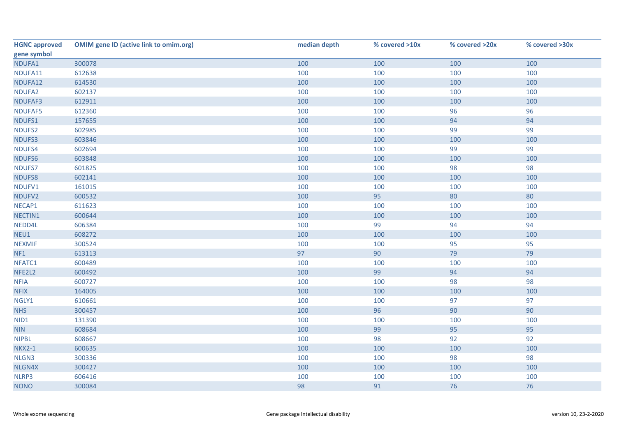| <b>HGNC approved</b> | <b>OMIM gene ID (active link to omim.org)</b> | median depth | % covered >10x | % covered >20x | % covered >30x |
|----------------------|-----------------------------------------------|--------------|----------------|----------------|----------------|
| gene symbol          |                                               |              |                |                |                |
| NDUFA1               | 300078                                        | 100          | 100            | 100            | 100            |
| NDUFA11              | 612638                                        | 100          | 100            | 100            | 100            |
| NDUFA12              | 614530                                        | 100          | 100            | 100            | 100            |
| NDUFA2               | 602137                                        | 100          | 100            | 100            | 100            |
| NDUFAF3              | 612911                                        | 100          | 100            | 100            | 100            |
| NDUFAF5              | 612360                                        | 100          | 100            | 96             | 96             |
| NDUFS1               | 157655                                        | 100          | 100            | 94             | 94             |
| NDUFS2               | 602985                                        | 100          | 100            | 99             | 99             |
| NDUFS3               | 603846                                        | 100          | 100            | 100            | 100            |
| NDUFS4               | 602694                                        | 100          | 100            | 99             | 99             |
| NDUFS6               | 603848                                        | 100          | 100            | 100            | 100            |
| NDUFS7               | 601825                                        | 100          | 100            | 98             | 98             |
| NDUFS8               | 602141                                        | 100          | 100            | 100            | 100            |
| NDUFV1               | 161015                                        | 100          | 100            | 100            | 100            |
| NDUFV2               | 600532                                        | 100          | 95             | 80             | 80             |
| NECAP1               | 611623                                        | 100          | 100            | 100            | 100            |
| NECTIN1              | 600644                                        | 100          | 100            | 100            | 100            |
| NEDD4L               | 606384                                        | 100          | 99             | 94             | 94             |
| NEU1                 | 608272                                        | 100          | 100            | 100            | 100            |
| <b>NEXMIF</b>        | 300524                                        | 100          | 100            | 95             | 95             |
| NF1                  | 613113                                        | 97           | 90             | 79             | 79             |
| NFATC1               | 600489                                        | 100          | 100            | 100            | 100            |
| NFE2L2               | 600492                                        | 100          | 99             | 94             | 94             |
| <b>NFIA</b>          | 600727                                        | 100          | 100            | 98             | 98             |
| <b>NFIX</b>          | 164005                                        | 100          | 100            | 100            | 100            |
| NGLY1                | 610661                                        | 100          | 100            | 97             | 97             |
| <b>NHS</b>           | 300457                                        | 100          | 96             | 90             | 90             |
| NID1                 | 131390                                        | 100          | 100            | 100            | 100            |
| <b>NIN</b>           | 608684                                        | 100          | 99             | 95             | 95             |
| <b>NIPBL</b>         | 608667                                        | 100          | 98             | 92             | 92             |
| <b>NKX2-1</b>        | 600635                                        | 100          | 100            | 100            | 100            |
| NLGN3                | 300336                                        | 100          | 100            | 98             | 98             |
| NLGN4X               | 300427                                        | 100          | 100            | 100            | 100            |
| NLRP3                | 606416                                        | 100          | 100            | 100            | 100            |
| <b>NONO</b>          | 300084                                        | 98           | 91             | 76             | 76             |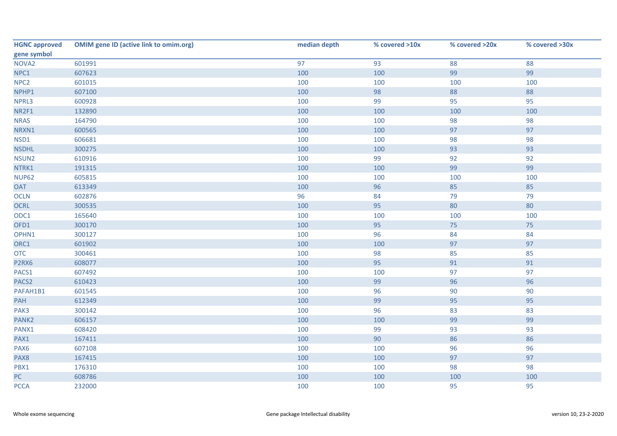| <b>HGNC approved</b> | <b>OMIM gene ID (active link to omim.org)</b> | median depth | % covered >10x | % covered >20x | % covered >30x |
|----------------------|-----------------------------------------------|--------------|----------------|----------------|----------------|
| gene symbol          |                                               |              |                |                |                |
| NOVA <sub>2</sub>    | 601991                                        | 97           | 93             | 88             | 88             |
| NPC1                 | 607623                                        | 100          | 100            | 99             | 99             |
| NPC <sub>2</sub>     | 601015                                        | 100          | 100            | 100            | 100            |
| NPHP1                | 607100                                        | 100          | 98             | 88             | 88             |
| NPRL3                | 600928                                        | 100          | 99             | 95             | 95             |
| NR2F1                | 132890                                        | 100          | 100            | 100            | 100            |
| <b>NRAS</b>          | 164790                                        | 100          | 100            | 98             | 98             |
| NRXN1                | 600565                                        | 100          | 100            | 97             | 97             |
| NSD1                 | 606681                                        | 100          | 100            | 98             | 98             |
| <b>NSDHL</b>         | 300275                                        | 100          | 100            | 93             | 93             |
| NSUN2                | 610916                                        | 100          | 99             | 92             | 92             |
| NTRK1                | 191315                                        | 100          | 100            | 99             | 99             |
| <b>NUP62</b>         | 605815                                        | 100          | 100            | 100            | 100            |
| <b>OAT</b>           | 613349                                        | 100          | 96             | 85             | 85             |
| <b>OCLN</b>          | 602876                                        | 96           | 84             | 79             | 79             |
| OCRL                 | 300535                                        | 100          | 95             | 80             | 80             |
| ODC1                 | 165640                                        | 100          | 100            | 100            | 100            |
| OFD1                 | 300170                                        | 100          | 95             | 75             | 75             |
| OPHN1                | 300127                                        | 100          | 96             | 84             | 84             |
| ORC1                 | 601902                                        | 100          | 100            | 97             | 97             |
| <b>OTC</b>           | 300461                                        | 100          | 98             | 85             | 85             |
| P2RX6                | 608077                                        | 100          | 95             | 91             | 91             |
| PACS1                | 607492                                        | 100          | 100            | 97             | 97             |
| PACS <sub>2</sub>    | 610423                                        | 100          | 99             | 96             | 96             |
| PAFAH1B1             | 601545                                        | 100          | 96             | 90             | 90             |
| PAH                  | 612349                                        | 100          | 99             | 95             | 95             |
| PAK3                 | 300142                                        | 100          | 96             | 83             | 83             |
| PANK2                | 606157                                        | 100          | 100            | 99             | 99             |
| PANX1                | 608420                                        | 100          | 99             | 93             | 93             |
| PAX1                 | 167411                                        | 100          | 90             | 86             | 86             |
| PAX6                 | 607108                                        | 100          | 100            | 96             | 96             |
| PAX8                 | 167415                                        | 100          | 100            | 97             | 97             |
| PBX1                 | 176310                                        | 100          | 100            | 98             | 98             |
| PC                   | 608786                                        | 100          | 100            | 100            | 100            |
| <b>PCCA</b>          | 232000                                        | 100          | 100            | 95             | 95             |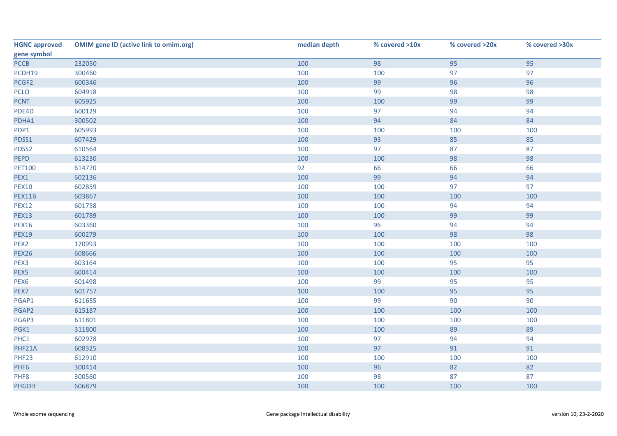| <b>HGNC approved</b> | <b>OMIM gene ID (active link to omim.org)</b> | median depth | % covered >10x | % covered >20x | % covered >30x |
|----------------------|-----------------------------------------------|--------------|----------------|----------------|----------------|
| gene symbol          |                                               |              |                |                |                |
| PCCB                 | 232050                                        | 100          | 98             | 95             | 95             |
| PCDH19               | 300460                                        | 100          | 100            | 97             | 97             |
| PCGF2                | 600346                                        | 100          | 99             | 96             | 96             |
| <b>PCLO</b>          | 604918                                        | 100          | 99             | 98             | 98             |
| <b>PCNT</b>          | 605925                                        | 100          | 100            | 99             | 99             |
| PDE4D                | 600129                                        | 100          | 97             | 94             | 94             |
| PDHA1                | 300502                                        | 100          | 94             | 84             | 84             |
| PDP1                 | 605993                                        | 100          | 100            | 100            | 100            |
| PDSS1                | 607429                                        | 100          | 93             | 85             | 85             |
| PDSS2                | 610564                                        | 100          | 97             | 87             | 87             |
| <b>PEPD</b>          | 613230                                        | 100          | 100            | 98             | 98             |
| <b>PET100</b>        | 614770                                        | 92           | 66             | 66             | 66             |
| PEX1                 | 602136                                        | 100          | 99             | 94             | 94             |
| <b>PEX10</b>         | 602859                                        | 100          | 100            | 97             | 97             |
| PEX11B               | 603867                                        | 100          | 100            | 100            | 100            |
| <b>PEX12</b>         | 601758                                        | 100          | 100            | 94             | 94             |
| <b>PEX13</b>         | 601789                                        | 100          | 100            | 99             | 99             |
| <b>PEX16</b>         | 603360                                        | 100          | 96             | 94             | 94             |
| <b>PEX19</b>         | 600279                                        | 100          | 100            | 98             | 98             |
| PEX <sub>2</sub>     | 170993                                        | 100          | 100            | 100            | 100            |
| <b>PEX26</b>         | 608666                                        | 100          | 100            | 100            | 100            |
| PEX3                 | 603164                                        | 100          | 100            | 95             | 95             |
| PEX5                 | 600414                                        | 100          | 100            | 100            | 100            |
| PEX6                 | 601498                                        | 100          | 99             | 95             | 95             |
| PEX7                 | 601757                                        | 100          | 100            | 95             | 95             |
| PGAP1                | 611655                                        | 100          | 99             | 90             | 90             |
| PGAP2                | 615187                                        | 100          | 100            | 100            | 100            |
| PGAP3                | 611801                                        | 100          | 100            | 100            | 100            |
| PGK1                 | 311800                                        | 100          | 100            | 89             | 89             |
| PHC1                 | 602978                                        | 100          | 97             | 94             | 94             |
| PHF21A               | 608325                                        | 100          | 97             | 91             | 91             |
| PHF23                | 612910                                        | 100          | 100            | 100            | 100            |
| PHF6                 | 300414                                        | 100          | 96             | 82             | 82             |
| PHF8                 | 300560                                        | 100          | 98             | 87             | 87             |
| <b>PHGDH</b>         | 606879                                        | 100          | 100            | 100            | 100            |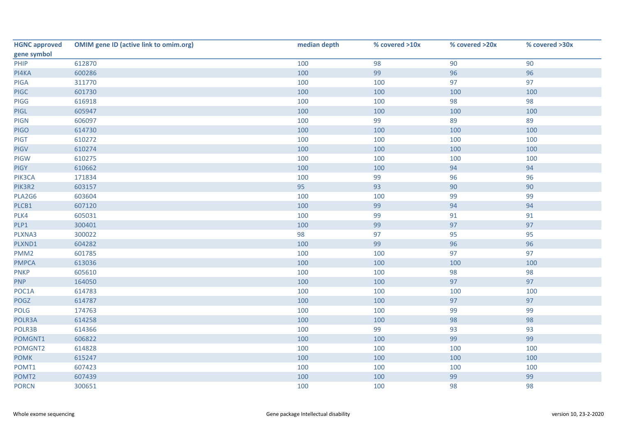| <b>HGNC approved</b> | <b>OMIM gene ID (active link to omim.org)</b> | median depth | % covered >10x | % covered >20x | % covered >30x |
|----------------------|-----------------------------------------------|--------------|----------------|----------------|----------------|
| gene symbol          |                                               |              |                |                |                |
| PHIP                 | 612870                                        | 100          | 98             | 90             | 90             |
| PI4KA                | 600286                                        | 100          | 99             | 96             | 96             |
| <b>PIGA</b>          | 311770                                        | 100          | 100            | 97             | 97             |
| <b>PIGC</b>          | 601730                                        | 100          | 100            | 100            | 100            |
| PIGG                 | 616918                                        | 100          | 100            | 98             | 98             |
| PIGL                 | 605947                                        | 100          | 100            | 100            | 100            |
| <b>PIGN</b>          | 606097                                        | 100          | 99             | 89             | 89             |
| <b>PIGO</b>          | 614730                                        | 100          | 100            | 100            | 100            |
| <b>PIGT</b>          | 610272                                        | 100          | 100            | 100            | 100            |
| PIGV                 | 610274                                        | 100          | 100            | 100            | 100            |
| PIGW                 | 610275                                        | 100          | 100            | 100            | 100            |
| <b>PIGY</b>          | 610662                                        | 100          | 100            | 94             | 94             |
| PIK3CA               | 171834                                        | 100          | 99             | 96             | 96             |
| PIK3R2               | 603157                                        | 95           | 93             | 90             | 90             |
| PLA2G6               | 603604                                        | 100          | 100            | 99             | 99             |
| PLCB1                | 607120                                        | 100          | 99             | 94             | 94             |
| PLK4                 | 605031                                        | 100          | 99             | 91             | 91             |
| PLP1                 | 300401                                        | 100          | 99             | 97             | 97             |
| PLXNA3               | 300022                                        | 98           | 97             | 95             | 95             |
| PLXND1               | 604282                                        | 100          | 99             | 96             | 96             |
| PMM <sub>2</sub>     | 601785                                        | 100          | 100            | 97             | 97             |
| <b>PMPCA</b>         | 613036                                        | 100          | 100            | 100            | 100            |
| <b>PNKP</b>          | 605610                                        | 100          | 100            | 98             | 98             |
| <b>PNP</b>           | 164050                                        | 100          | 100            | 97             | 97             |
| POC1A                | 614783                                        | 100          | 100            | 100            | 100            |
| POGZ                 | 614787                                        | 100          | 100            | 97             | 97             |
| POLG                 | 174763                                        | 100          | 100            | 99             | 99             |
| POLR3A               | 614258                                        | 100          | 100            | 98             | 98             |
| POLR3B               | 614366                                        | 100          | 99             | 93             | 93             |
| POMGNT1              | 606822                                        | 100          | 100            | 99             | 99             |
| POMGNT2              | 614828                                        | 100          | 100            | 100            | 100            |
| <b>POMK</b>          | 615247                                        | 100          | 100            | 100            | 100            |
| POMT1                | 607423                                        | 100          | 100            | 100            | 100            |
| POMT2                | 607439                                        | 100          | 100            | 99             | 99             |
| <b>PORCN</b>         | 300651                                        | 100          | 100            | 98             | 98             |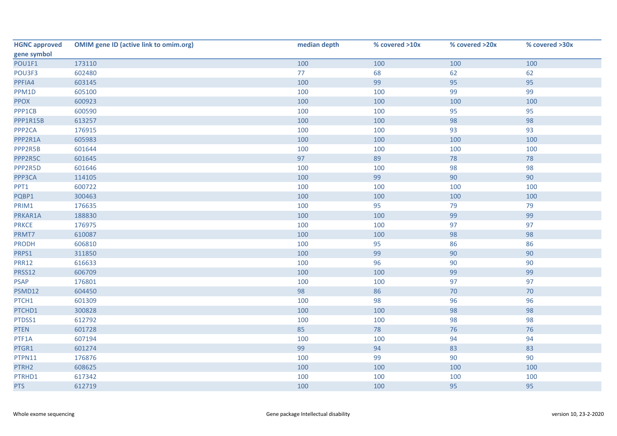| <b>HGNC approved</b> | <b>OMIM gene ID (active link to omim.org)</b> | median depth | % covered >10x | % covered >20x | % covered >30x |
|----------------------|-----------------------------------------------|--------------|----------------|----------------|----------------|
| gene symbol          |                                               |              |                |                |                |
| POU1F1               | 173110                                        | 100          | 100            | 100            | 100            |
| POU3F3               | 602480                                        | 77           | 68             | 62             | 62             |
| PPFIA4               | 603145                                        | 100          | 99             | 95             | 95             |
| PPM1D                | 605100                                        | 100          | 100            | 99             | 99             |
| <b>PPOX</b>          | 600923                                        | 100          | 100            | 100            | 100            |
| PPP1CB               | 600590                                        | 100          | 100            | 95             | 95             |
| PPP1R15B             | 613257                                        | 100          | 100            | 98             | 98             |
| PPP <sub>2CA</sub>   | 176915                                        | 100          | 100            | 93             | 93             |
| PPP2R1A              | 605983                                        | 100          | 100            | 100            | 100            |
| PPP2R5B              | 601644                                        | 100          | 100            | 100            | 100            |
| PPP2R5C              | 601645                                        | 97           | 89             | 78             | 78             |
| PPP2R5D              | 601646                                        | 100          | 100            | 98             | 98             |
| PPP3CA               | 114105                                        | 100          | 99             | 90             | 90             |
| PPT1                 | 600722                                        | 100          | 100            | 100            | 100            |
| PQBP1                | 300463                                        | 100          | 100            | 100            | 100            |
| PRIM1                | 176635                                        | 100          | 95             | 79             | 79             |
| PRKAR1A              | 188830                                        | 100          | 100            | 99             | 99             |
| <b>PRKCE</b>         | 176975                                        | 100          | 100            | 97             | 97             |
| PRMT7                | 610087                                        | 100          | 100            | 98             | 98             |
| <b>PRODH</b>         | 606810                                        | 100          | 95             | 86             | 86             |
| PRPS1                | 311850                                        | 100          | 99             | 90             | 90             |
| <b>PRR12</b>         | 616633                                        | 100          | 96             | 90             | 90             |
| PRSS12               | 606709                                        | 100          | 100            | 99             | 99             |
| <b>PSAP</b>          | 176801                                        | 100          | 100            | 97             | 97             |
| PSMD12               | 604450                                        | 98           | 86             | 70             | 70             |
| PTCH1                | 601309                                        | 100          | 98             | 96             | 96             |
| PTCHD1               | 300828                                        | 100          | 100            | 98             | 98             |
| PTDSS1               | 612792                                        | 100          | 100            | 98             | 98             |
| <b>PTEN</b>          | 601728                                        | 85           | 78             | 76             | 76             |
| PTF1A                | 607194                                        | 100          | 100            | 94             | 94             |
| PTGR1                | 601274                                        | 99           | 94             | 83             | 83             |
| PTPN11               | 176876                                        | 100          | 99             | 90             | 90             |
| PTRH2                | 608625                                        | 100          | 100            | 100            | 100            |
| PTRHD1               | 617342                                        | 100          | 100            | 100            | 100            |
| <b>PTS</b>           | 612719                                        | 100          | 100            | 95             | 95             |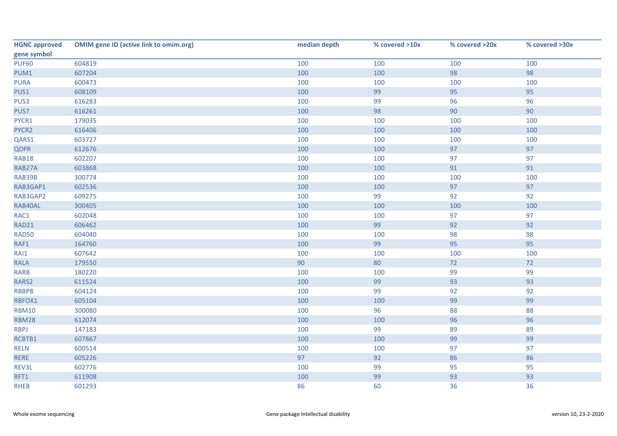| <b>HGNC approved</b> | <b>OMIM gene ID (active link to omim.org)</b> | median depth | % covered >10x | % covered >20x | % covered >30x |
|----------------------|-----------------------------------------------|--------------|----------------|----------------|----------------|
| gene symbol          |                                               |              |                |                |                |
| <b>PUF60</b>         | 604819                                        | 100          | 100            | 100            | 100            |
| PUM1                 | 607204                                        | 100          | 100            | 98             | 98             |
| <b>PURA</b>          | 600473                                        | 100          | 100            | 100            | 100            |
| PUS1                 | 608109                                        | 100          | 99             | 95             | 95             |
| PUS3                 | 616283                                        | 100          | 99             | 96             | 96             |
| PUS7                 | 616261                                        | 100          | 98             | 90             | 90             |
| PYCR1                | 179035                                        | 100          | 100            | 100            | 100            |
| PYCR2                | 616406                                        | 100          | 100            | 100            | 100            |
| QARS1                | 603727                                        | 100          | 100            | 100            | 100            |
| <b>QDPR</b>          | 612676                                        | 100          | 100            | 97             | 97             |
| <b>RAB18</b>         | 602207                                        | 100          | 100            | 97             | 97             |
| RAB27A               | 603868                                        | 100          | 100            | 91             | 91             |
| RAB39B               | 300774                                        | 100          | 100            | 100            | 100            |
| RAB3GAP1             | 602536                                        | 100          | 100            | 97             | 97             |
| RAB3GAP2             | 609275                                        | 100          | 99             | 92             | 92             |
| RAB40AL              | 300405                                        | 100          | 100            | 100            | 100            |
| RAC1                 | 602048                                        | 100          | 100            | 97             | 97             |
| <b>RAD21</b>         | 606462                                        | 100          | 99             | 92             | 92             |
| RAD50                | 604040                                        | 100          | 100            | 98             | 98             |
| RAF1                 | 164760                                        | 100          | 99             | 95             | 95             |
| RAI1                 | 607642                                        | 100          | 100            | 100            | 100            |
| <b>RALA</b>          | 179550                                        | 90           | 80             | 72             | 72             |
| <b>RARB</b>          | 180220                                        | 100          | 100            | 99             | 99             |
| RARS2                | 611524                                        | 100          | 99             | 93             | 93             |
| RBBP8                | 604124                                        | 100          | 99             | 92             | 92             |
| RBFOX1               | 605104                                        | 100          | 100            | 99             | 99             |
| <b>RBM10</b>         | 300080                                        | 100          | 96             | 88             | 88             |
| <b>RBM28</b>         | 612074                                        | 100          | 100            | 96             | 96             |
| <b>RBPJ</b>          | 147183                                        | 100          | 99             | 89             | 89             |
| RCBTB1               | 607867                                        | 100          | 100            | 99             | 99             |
| <b>RELN</b>          | 600514                                        | 100          | 100            | 97             | 97             |
| <b>RERE</b>          | 605226                                        | 97           | 92             | 86             | 86             |
| REV3L                | 602776                                        | 100          | 99             | 95             | 95             |
| RFT1                 | 611908                                        | 100          | 99             | 93             | 93             |
| <b>RHEB</b>          | 601293                                        | 86           | 60             | 36             | 36             |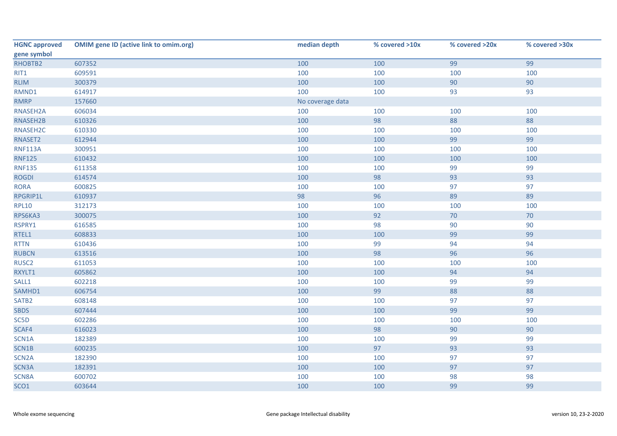| <b>HGNC approved</b> | <b>OMIM gene ID (active link to omim.org)</b> | median depth     | % covered >10x | % covered >20x | % covered >30x |
|----------------------|-----------------------------------------------|------------------|----------------|----------------|----------------|
| gene symbol          |                                               |                  |                |                |                |
| RHOBTB2              | 607352                                        | 100              | 100            | 99             | 99             |
| RIT1                 | 609591                                        | 100              | 100            | 100            | 100            |
| <b>RLIM</b>          | 300379                                        | 100              | 100            | 90             | 90             |
| RMND1                | 614917                                        | 100              | 100            | 93             | 93             |
| <b>RMRP</b>          | 157660                                        | No coverage data |                |                |                |
| RNASEH2A             | 606034                                        | 100              | 100            | 100            | 100            |
| RNASEH2B             | 610326                                        | 100              | 98             | 88             | 88             |
| RNASEH2C             | 610330                                        | 100              | 100            | 100            | 100            |
| RNASET2              | 612944                                        | 100              | 100            | 99             | 99             |
| <b>RNF113A</b>       | 300951                                        | 100              | 100            | 100            | 100            |
| <b>RNF125</b>        | 610432                                        | 100              | 100            | 100            | 100            |
| <b>RNF135</b>        | 611358                                        | 100              | 100            | 99             | 99             |
| <b>ROGDI</b>         | 614574                                        | 100              | 98             | 93             | 93             |
| <b>RORA</b>          | 600825                                        | 100              | 100            | 97             | 97             |
| RPGRIP1L             | 610937                                        | 98               | 96             | 89             | 89             |
| <b>RPL10</b>         | 312173                                        | 100              | 100            | 100            | 100            |
| RPS6KA3              | 300075                                        | 100              | 92             | 70             | 70             |
| RSPRY1               | 616585                                        | 100              | 98             | 90             | 90             |
| RTEL1                | 608833                                        | 100              | 100            | 99             | 99             |
| <b>RTTN</b>          | 610436                                        | 100              | 99             | 94             | 94             |
| <b>RUBCN</b>         | 613516                                        | 100              | 98             | 96             | 96             |
| RUSC <sub>2</sub>    | 611053                                        | 100              | 100            | 100            | 100            |
| RXYLT1               | 605862                                        | 100              | 100            | 94             | 94             |
| SALL1                | 602218                                        | 100              | 100            | 99             | 99             |
| SAMHD1               | 606754                                        | 100              | 99             | 88             | 88             |
| SATB <sub>2</sub>    | 608148                                        | 100              | 100            | 97             | 97             |
| <b>SBDS</b>          | 607444                                        | 100              | 100            | 99             | 99             |
| SC5D                 | 602286                                        | 100              | 100            | 100            | 100            |
| SCAF4                | 616023                                        | 100              | 98             | 90             | 90             |
| SCN1A                | 182389                                        | 100              | 100            | 99             | 99             |
| SCN1B                | 600235                                        | 100              | 97             | 93             | 93             |
| SCN <sub>2</sub> A   | 182390                                        | 100              | 100            | 97             | 97             |
| SCN3A                | 182391                                        | 100              | 100            | 97             | 97             |
| SCN8A                | 600702                                        | 100              | 100            | 98             | 98             |
| SCO1                 | 603644                                        | 100              | 100            | 99             | 99             |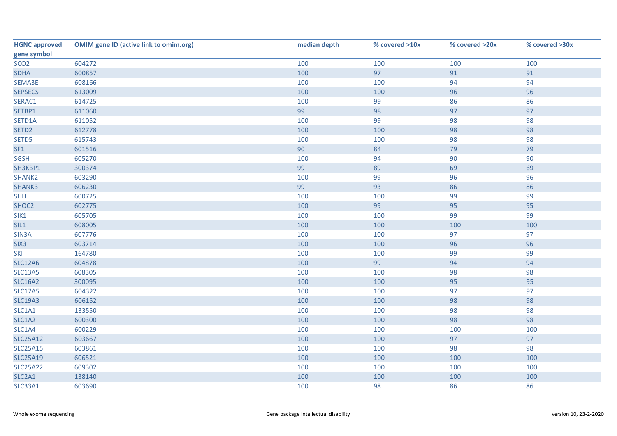| <b>HGNC approved</b> | <b>OMIM gene ID (active link to omim.org)</b> | median depth | % covered >10x | % covered >20x | % covered >30x |
|----------------------|-----------------------------------------------|--------------|----------------|----------------|----------------|
| gene symbol          |                                               |              |                |                |                |
| SCO <sub>2</sub>     | 604272                                        | 100          | 100            | 100            | 100            |
| <b>SDHA</b>          | 600857                                        | 100          | 97             | 91             | 91             |
| SEMA3E               | 608166                                        | 100          | 100            | 94             | 94             |
| <b>SEPSECS</b>       | 613009                                        | 100          | 100            | 96             | 96             |
| SERAC1               | 614725                                        | 100          | 99             | 86             | 86             |
| SETBP1               | 611060                                        | 99           | 98             | 97             | 97             |
| SETD1A               | 611052                                        | 100          | 99             | 98             | 98             |
| SETD <sub>2</sub>    | 612778                                        | 100          | 100            | 98             | 98             |
| SETD5                | 615743                                        | 100          | 100            | 98             | 98             |
| SF1                  | 601516                                        | 90           | 84             | 79             | 79             |
| <b>SGSH</b>          | 605270                                        | 100          | 94             | 90             | 90             |
| SH3KBP1              | 300374                                        | 99           | 89             | 69             | 69             |
| SHANK2               | 603290                                        | 100          | 99             | 96             | 96             |
| SHANK3               | 606230                                        | 99           | 93             | 86             | 86             |
| <b>SHH</b>           | 600725                                        | 100          | 100            | 99             | 99             |
| SHOC2                | 602775                                        | 100          | 99             | 95             | 95             |
| SIK1                 | 605705                                        | 100          | 100            | 99             | 99             |
| SIL1                 | 608005                                        | 100          | 100            | 100            | 100            |
| SIN3A                | 607776                                        | 100          | 100            | 97             | 97             |
| SIX <sub>3</sub>     | 603714                                        | 100          | 100            | 96             | 96             |
| SKI                  | 164780                                        | 100          | 100            | 99             | 99             |
| <b>SLC12A6</b>       | 604878                                        | 100          | 99             | 94             | 94             |
| <b>SLC13A5</b>       | 608305                                        | 100          | 100            | 98             | 98             |
| <b>SLC16A2</b>       | 300095                                        | 100          | 100            | 95             | 95             |
| <b>SLC17A5</b>       | 604322                                        | 100          | 100            | 97             | 97             |
| <b>SLC19A3</b>       | 606152                                        | 100          | 100            | 98             | 98             |
| SLC1A1               | 133550                                        | 100          | 100            | 98             | 98             |
| SLC1A2               | 600300                                        | 100          | 100            | 98             | 98             |
| SLC1A4               | 600229                                        | 100          | 100            | 100            | 100            |
| <b>SLC25A12</b>      | 603667                                        | 100          | 100            | 97             | 97             |
| <b>SLC25A15</b>      | 603861                                        | 100          | 100            | 98             | 98             |
| <b>SLC25A19</b>      | 606521                                        | 100          | 100            | 100            | 100            |
| <b>SLC25A22</b>      | 609302                                        | 100          | 100            | 100            | 100            |
| SLC2A1               | 138140                                        | 100          | 100            | 100            | 100            |
| <b>SLC33A1</b>       | 603690                                        | 100          | 98             | 86             | 86             |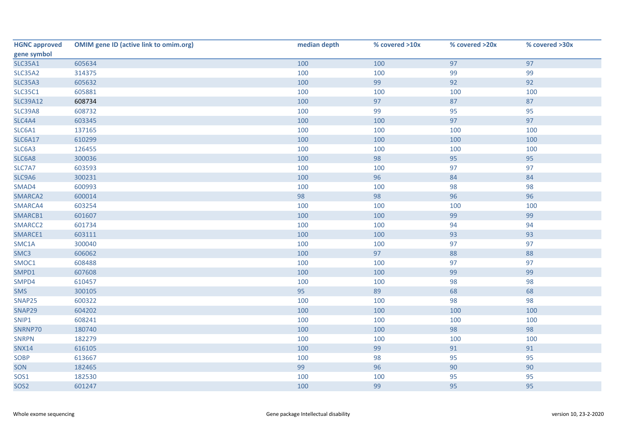| <b>HGNC approved</b> | <b>OMIM gene ID (active link to omim.org)</b> | median depth | % covered >10x | % covered >20x | % covered >30x |
|----------------------|-----------------------------------------------|--------------|----------------|----------------|----------------|
| gene symbol          |                                               |              |                |                |                |
| <b>SLC35A1</b>       | 605634                                        | 100          | 100            | 97             | 97             |
| <b>SLC35A2</b>       | 314375                                        | 100          | 100            | 99             | 99             |
| <b>SLC35A3</b>       | 605632                                        | 100          | 99             | 92             | 92             |
| <b>SLC35C1</b>       | 605881                                        | 100          | 100            | 100            | 100            |
| <b>SLC39A12</b>      | 608734                                        | 100          | 97             | 87             | 87             |
| <b>SLC39A8</b>       | 608732                                        | 100          | 99             | 95             | 95             |
| SLC4A4               | 603345                                        | 100          | 100            | 97             | 97             |
| SLC6A1               | 137165                                        | 100          | 100            | 100            | 100            |
| <b>SLC6A17</b>       | 610299                                        | 100          | 100            | 100            | 100            |
| SLC6A3               | 126455                                        | 100          | 100            | 100            | 100            |
| SLC6A8               | 300036                                        | 100          | 98             | 95             | 95             |
| SLC7A7               | 603593                                        | 100          | 100            | 97             | 97             |
| SLC9A6               | 300231                                        | 100          | 96             | 84             | 84             |
| SMAD4                | 600993                                        | 100          | 100            | 98             | 98             |
| SMARCA2              | 600014                                        | 98           | 98             | 96             | 96             |
| SMARCA4              | 603254                                        | 100          | 100            | 100            | 100            |
| SMARCB1              | 601607                                        | 100          | 100            | 99             | 99             |
| SMARCC2              | 601734                                        | 100          | 100            | 94             | 94             |
| SMARCE1              | 603111                                        | 100          | 100            | 93             | 93             |
| SMC1A                | 300040                                        | 100          | 100            | 97             | 97             |
| SMC3                 | 606062                                        | 100          | 97             | 88             | 88             |
| SMOC1                | 608488                                        | 100          | 100            | 97             | 97             |
| SMPD1                | 607608                                        | 100          | 100            | 99             | 99             |
| SMPD4                | 610457                                        | 100          | 100            | 98             | 98             |
| <b>SMS</b>           | 300105                                        | 95           | 89             | 68             | 68             |
| SNAP25               | 600322                                        | 100          | 100            | 98             | 98             |
| SNAP29               | 604202                                        | 100          | 100            | 100            | 100            |
| SNIP1                | 608241                                        | 100          | 100            | 100            | 100            |
| SNRNP70              | 180740                                        | 100          | 100            | 98             | 98             |
| <b>SNRPN</b>         | 182279                                        | 100          | 100            | 100            | 100            |
| <b>SNX14</b>         | 616105                                        | 100          | 99             | 91             | 91             |
| SOBP                 | 613667                                        | 100          | 98             | 95             | 95             |
| SON                  | 182465                                        | 99           | 96             | 90             | 90             |
| SOS1                 | 182530                                        | 100          | 100            | 95             | 95             |
| SOS <sub>2</sub>     | 601247                                        | 100          | 99             | 95             | 95             |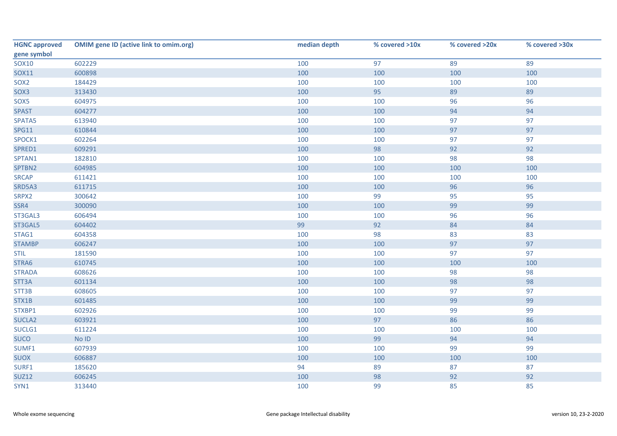| <b>HGNC approved</b> | <b>OMIM gene ID (active link to omim.org)</b> | median depth | % covered >10x | % covered >20x | % covered >30x |
|----------------------|-----------------------------------------------|--------------|----------------|----------------|----------------|
| gene symbol          |                                               |              |                |                |                |
| <b>SOX10</b>         | 602229                                        | 100          | 97             | 89             | 89             |
| SOX11                | 600898                                        | 100          | 100            | 100            | 100            |
| SOX <sub>2</sub>     | 184429                                        | 100          | 100            | 100            | 100            |
| SOX3                 | 313430                                        | 100          | 95             | 89             | 89             |
| SOX5                 | 604975                                        | 100          | 100            | 96             | 96             |
| <b>SPAST</b>         | 604277                                        | 100          | 100            | 94             | 94             |
| SPATA5               | 613940                                        | 100          | 100            | 97             | 97             |
| <b>SPG11</b>         | 610844                                        | 100          | 100            | 97             | 97             |
| SPOCK1               | 602264                                        | 100          | 100            | 97             | 97             |
| SPRED1               | 609291                                        | 100          | 98             | 92             | 92             |
| SPTAN1               | 182810                                        | 100          | 100            | 98             | 98             |
| SPTBN2               | 604985                                        | 100          | 100            | 100            | 100            |
| <b>SRCAP</b>         | 611421                                        | 100          | 100            | 100            | 100            |
| SRD5A3               | 611715                                        | 100          | 100            | 96             | 96             |
| SRPX2                | 300642                                        | 100          | 99             | 95             | 95             |
| SSR4                 | 300090                                        | 100          | 100            | 99             | 99             |
| ST3GAL3              | 606494                                        | 100          | 100            | 96             | 96             |
| ST3GAL5              | 604402                                        | 99           | 92             | 84             | 84             |
| STAG1                | 604358                                        | 100          | 98             | 83             | 83             |
| <b>STAMBP</b>        | 606247                                        | 100          | 100            | 97             | 97             |
| <b>STIL</b>          | 181590                                        | 100          | 100            | 97             | 97             |
| STRA6                | 610745                                        | 100          | 100            | 100            | 100            |
| <b>STRADA</b>        | 608626                                        | 100          | 100            | 98             | 98             |
| STT3A                | 601134                                        | 100          | 100            | 98             | 98             |
| STT3B                | 608605                                        | 100          | 100            | 97             | 97             |
| STX1B                | 601485                                        | 100          | 100            | 99             | 99             |
| STXBP1               | 602926                                        | 100          | 100            | 99             | 99             |
| SUCLA2               | 603921                                        | 100          | 97             | 86             | 86             |
| SUCLG1               | 611224                                        | 100          | 100            | 100            | 100            |
| <b>SUCO</b>          | $No$ $ID$                                     | 100          | 99             | 94             | 94             |
| SUMF1                | 607939                                        | 100          | 100            | 99             | 99             |
| <b>SUOX</b>          | 606887                                        | 100          | 100            | 100            | 100            |
| SURF1                | 185620                                        | 94           | 89             | 87             | 87             |
| <b>SUZ12</b>         | 606245                                        | 100          | 98             | 92             | 92             |
| SYN1                 | 313440                                        | 100          | 99             | 85             | 85             |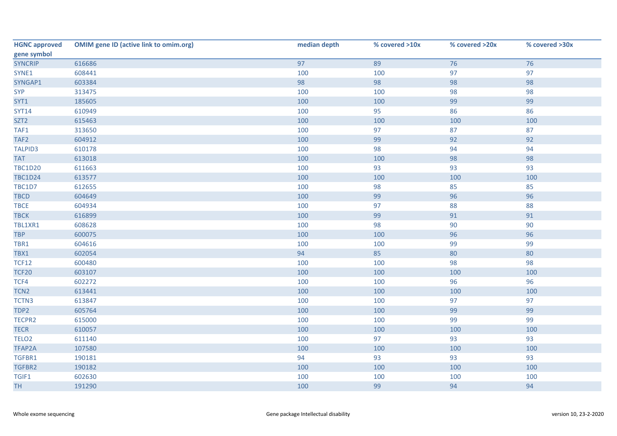| <b>HGNC approved</b> | <b>OMIM gene ID (active link to omim.org)</b> | median depth | % covered >10x | % covered >20x | % covered >30x |
|----------------------|-----------------------------------------------|--------------|----------------|----------------|----------------|
| gene symbol          |                                               |              |                |                |                |
| <b>SYNCRIP</b>       | 616686                                        | 97           | 89             | 76             | 76             |
| SYNE1                | 608441                                        | 100          | 100            | 97             | 97             |
| SYNGAP1              | 603384                                        | 98           | 98             | 98             | 98             |
| <b>SYP</b>           | 313475                                        | 100          | 100            | 98             | 98             |
| SYT1                 | 185605                                        | 100          | 100            | 99             | 99             |
| <b>SYT14</b>         | 610949                                        | 100          | 95             | 86             | 86             |
| SZT <sub>2</sub>     | 615463                                        | 100          | 100            | 100            | 100            |
| TAF1                 | 313650                                        | 100          | 97             | 87             | 87             |
| TAF2                 | 604912                                        | 100          | 99             | 92             | 92             |
| <b>TALPID3</b>       | 610178                                        | 100          | 98             | 94             | 94             |
| <b>TAT</b>           | 613018                                        | 100          | 100            | 98             | 98             |
| <b>TBC1D20</b>       | 611663                                        | 100          | 93             | 93             | 93             |
| <b>TBC1D24</b>       | 613577                                        | 100          | 100            | 100            | 100            |
| <b>TBC1D7</b>        | 612655                                        | 100          | 98             | 85             | 85             |
| <b>TBCD</b>          | 604649                                        | 100          | 99             | 96             | 96             |
| <b>TBCE</b>          | 604934                                        | 100          | 97             | 88             | 88             |
| <b>TBCK</b>          | 616899                                        | 100          | 99             | 91             | 91             |
| TBL1XR1              | 608628                                        | 100          | 98             | 90             | 90             |
| <b>TBP</b>           | 600075                                        | 100          | 100            | 96             | 96             |
| TBR1                 | 604616                                        | 100          | 100            | 99             | 99             |
| TBX1                 | 602054                                        | 94           | 85             | 80             | 80             |
| <b>TCF12</b>         | 600480                                        | 100          | 100            | 98             | 98             |
| <b>TCF20</b>         | 603107                                        | 100          | 100            | 100            | 100            |
| TCF4                 | 602272                                        | 100          | 100            | 96             | 96             |
| TCN <sub>2</sub>     | 613441                                        | 100          | 100            | 100            | 100            |
| TCTN3                | 613847                                        | 100          | 100            | 97             | 97             |
| TDP2                 | 605764                                        | 100          | 100            | 99             | 99             |
| TECPR2               | 615000                                        | 100          | 100            | 99             | 99             |
| <b>TECR</b>          | 610057                                        | 100          | 100            | 100            | 100            |
| TELO <sub>2</sub>    | 611140                                        | 100          | 97             | 93             | 93             |
| TFAP2A               | 107580                                        | 100          | 100            | 100            | 100            |
| TGFBR1               | 190181                                        | 94           | 93             | 93             | 93             |
| TGFBR2               | 190182                                        | 100          | 100            | 100            | 100            |
| TGIF1                | 602630                                        | 100          | 100            | 100            | 100            |
| <b>TH</b>            | 191290                                        | 100          | 99             | 94             | 94             |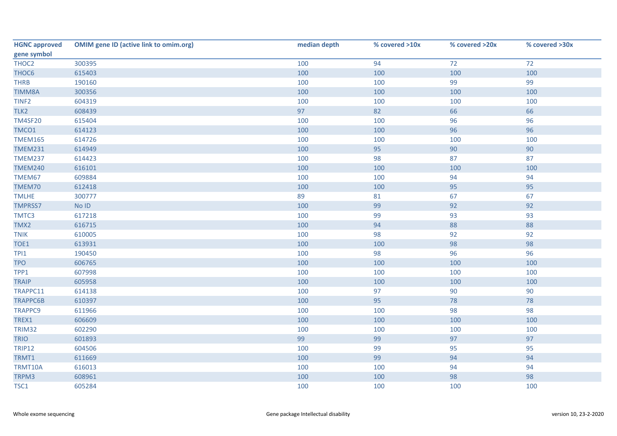| <b>HGNC approved</b> | <b>OMIM gene ID (active link to omim.org)</b> | median depth | % covered >10x | % covered >20x | % covered >30x |
|----------------------|-----------------------------------------------|--------------|----------------|----------------|----------------|
| gene symbol          |                                               |              |                |                |                |
| THOC2                | 300395                                        | 100          | 94             | 72             | 72             |
| THOC6                | 615403                                        | 100          | 100            | 100            | 100            |
| <b>THRB</b>          | 190160                                        | 100          | 100            | 99             | 99             |
| <b>TIMM8A</b>        | 300356                                        | 100          | 100            | 100            | 100            |
| TINF <sub>2</sub>    | 604319                                        | 100          | 100            | 100            | 100            |
| TLK2                 | 608439                                        | 97           | 82             | 66             | 66             |
| <b>TM4SF20</b>       | 615404                                        | 100          | 100            | 96             | 96             |
| TMCO1                | 614123                                        | 100          | 100            | 96             | 96             |
| <b>TMEM165</b>       | 614726                                        | 100          | 100            | 100            | 100            |
| <b>TMEM231</b>       | 614949                                        | 100          | 95             | 90             | 90             |
| <b>TMEM237</b>       | 614423                                        | 100          | 98             | 87             | 87             |
| <b>TMEM240</b>       | 616101                                        | 100          | 100            | 100            | 100            |
| TMEM67               | 609884                                        | 100          | 100            | 94             | 94             |
| TMEM70               | 612418                                        | 100          | 100            | 95             | 95             |
| <b>TMLHE</b>         | 300777                                        | 89           | 81             | 67             | 67             |
| <b>TMPRSS7</b>       | No ID                                         | 100          | 99             | 92             | 92             |
| TMTC3                | 617218                                        | 100          | 99             | 93             | 93             |
| TMX2                 | 616715                                        | 100          | 94             | 88             | 88             |
| <b>TNIK</b>          | 610005                                        | 100          | 98             | 92             | 92             |
| TOE1                 | 613931                                        | 100          | 100            | 98             | 98             |
| TPI1                 | 190450                                        | 100          | 98             | 96             | 96             |
| <b>TPO</b>           | 606765                                        | 100          | 100            | 100            | 100            |
| TPP1                 | 607998                                        | 100          | 100            | 100            | 100            |
| <b>TRAIP</b>         | 605958                                        | 100          | 100            | 100            | 100            |
| TRAPPC11             | 614138                                        | 100          | 97             | 90             | 90             |
| <b>TRAPPC6B</b>      | 610397                                        | 100          | 95             | 78             | 78             |
| <b>TRAPPC9</b>       | 611966                                        | 100          | 100            | 98             | 98             |
| TREX1                | 606609                                        | 100          | 100            | 100            | 100            |
| TRIM32               | 602290                                        | 100          | 100            | 100            | 100            |
| <b>TRIO</b>          | 601893                                        | 99           | 99             | 97             | 97             |
| <b>TRIP12</b>        | 604506                                        | 100          | 99             | 95             | 95             |
| TRMT1                | 611669                                        | 100          | 99             | 94             | 94             |
| TRMT10A              | 616013                                        | 100          | 100            | 94             | 94             |
| TRPM3                | 608961                                        | 100          | 100            | 98             | 98             |
| TSC1                 | 605284                                        | 100          | 100            | 100            | 100            |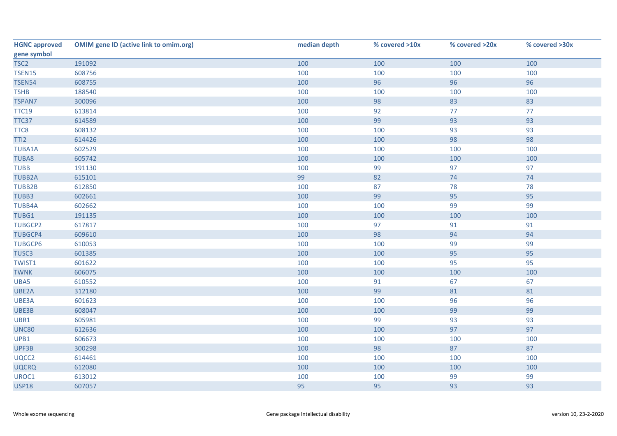| <b>HGNC approved</b> | <b>OMIM gene ID (active link to omim.org)</b> | median depth | % covered >10x | % covered >20x | % covered >30x |
|----------------------|-----------------------------------------------|--------------|----------------|----------------|----------------|
| gene symbol          |                                               |              |                |                |                |
| TSC <sub>2</sub>     | 191092                                        | 100          | 100            | 100            | 100            |
| <b>TSEN15</b>        | 608756                                        | 100          | 100            | 100            | 100            |
| <b>TSEN54</b>        | 608755                                        | 100          | 96             | 96             | 96             |
| <b>TSHB</b>          | 188540                                        | 100          | 100            | 100            | 100            |
| <b>TSPAN7</b>        | 300096                                        | 100          | 98             | 83             | 83             |
| <b>TTC19</b>         | 613814                                        | 100          | 92             | 77             | 77             |
| TTC37                | 614589                                        | 100          | 99             | 93             | 93             |
| TTC8                 | 608132                                        | 100          | 100            | 93             | 93             |
| TTI <sub>2</sub>     | 614426                                        | 100          | 100            | 98             | 98             |
| <b>TUBA1A</b>        | 602529                                        | 100          | 100            | 100            | 100            |
| <b>TUBA8</b>         | 605742                                        | 100          | 100            | 100            | 100            |
| <b>TUBB</b>          | 191130                                        | 100          | 99             | 97             | 97             |
| <b>TUBB2A</b>        | 615101                                        | 99           | 82             | 74             | 74             |
| <b>TUBB2B</b>        | 612850                                        | 100          | 87             | 78             | 78             |
| TUBB3                | 602661                                        | 100          | 99             | 95             | 95             |
| <b>TUBB4A</b>        | 602662                                        | 100          | 100            | 99             | 99             |
| TUBG1                | 191135                                        | 100          | 100            | 100            | 100            |
| <b>TUBGCP2</b>       | 617817                                        | 100          | 97             | 91             | 91             |
| <b>TUBGCP4</b>       | 609610                                        | 100          | 98             | 94             | 94             |
| <b>TUBGCP6</b>       | 610053                                        | 100          | 100            | 99             | 99             |
| TUSC3                | 601385                                        | 100          | 100            | 95             | 95             |
| TWIST1               | 601622                                        | 100          | 100            | 95             | 95             |
| <b>TWNK</b>          | 606075                                        | 100          | 100            | 100            | 100            |
| UBA5                 | 610552                                        | 100          | 91             | 67             | 67             |
| UBE2A                | 312180                                        | 100          | 99             | 81             | 81             |
| UBE3A                | 601623                                        | 100          | 100            | 96             | 96             |
| UBE3B                | 608047                                        | 100          | 100            | 99             | 99             |
| UBR1                 | 605981                                        | 100          | 99             | 93             | 93             |
| <b>UNC80</b>         | 612636                                        | 100          | 100            | 97             | 97             |
| UPB1                 | 606673                                        | 100          | 100            | 100            | 100            |
| UPF3B                | 300298                                        | 100          | 98             | 87             | 87             |
| UQCC2                | 614461                                        | 100          | 100            | 100            | 100            |
| <b>UQCRQ</b>         | 612080                                        | 100          | 100            | 100            | 100            |
| UROC1                | 613012                                        | 100          | 100            | 99             | 99             |
| <b>USP18</b>         | 607057                                        | 95           | 95             | 93             | 93             |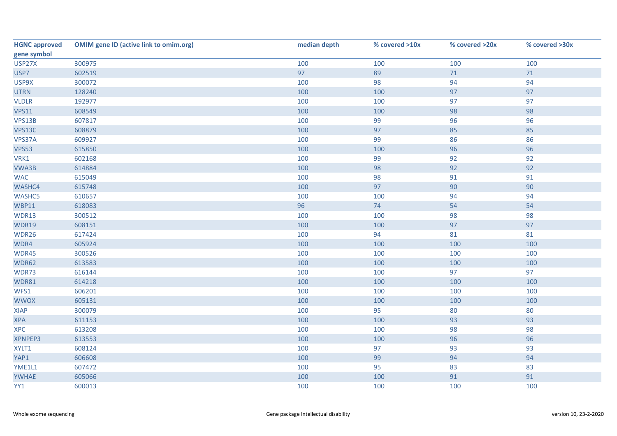| <b>HGNC approved</b> | <b>OMIM gene ID (active link to omim.org)</b> | median depth | % covered >10x | % covered >20x | % covered >30x |
|----------------------|-----------------------------------------------|--------------|----------------|----------------|----------------|
| gene symbol          |                                               |              |                |                |                |
| USP27X               | 300975                                        | 100          | 100            | 100            | 100            |
| USP7                 | 602519                                        | 97           | 89             | $71$           | $71$           |
| USP9X                | 300072                                        | 100          | 98             | 94             | 94             |
| <b>UTRN</b>          | 128240                                        | 100          | 100            | 97             | 97             |
| <b>VLDLR</b>         | 192977                                        | 100          | 100            | 97             | 97             |
| <b>VPS11</b>         | 608549                                        | 100          | 100            | 98             | 98             |
| VPS13B               | 607817                                        | 100          | 99             | 96             | 96             |
| VPS13C               | 608879                                        | 100          | 97             | 85             | 85             |
| VPS37A               | 609927                                        | 100          | 99             | 86             | 86             |
| <b>VPS53</b>         | 615850                                        | 100          | 100            | 96             | 96             |
| VRK1                 | 602168                                        | 100          | 99             | 92             | 92             |
| VWA3B                | 614884                                        | 100          | 98             | 92             | 92             |
| <b>WAC</b>           | 615049                                        | 100          | 98             | 91             | 91             |
| WASHC4               | 615748                                        | 100          | 97             | 90             | 90             |
| <b>WASHC5</b>        | 610657                                        | 100          | 100            | 94             | 94             |
| <b>WBP11</b>         | 618083                                        | 96           | 74             | 54             | 54             |
| WDR13                | 300512                                        | 100          | 100            | 98             | 98             |
| <b>WDR19</b>         | 608151                                        | 100          | 100            | 97             | 97             |
| WDR26                | 617424                                        | 100          | 94             | 81             | 81             |
| WDR4                 | 605924                                        | 100          | 100            | 100            | 100            |
| WDR45                | 300526                                        | 100          | 100            | 100            | 100            |
| WDR62                | 613583                                        | 100          | 100            | 100            | 100            |
| WDR73                | 616144                                        | 100          | 100            | 97             | 97             |
| <b>WDR81</b>         | 614218                                        | 100          | 100            | 100            | 100            |
| WFS1                 | 606201                                        | 100          | 100            | 100            | 100            |
| <b>WWOX</b>          | 605131                                        | 100          | 100            | 100            | 100            |
| <b>XIAP</b>          | 300079                                        | 100          | 95             | 80             | 80             |
| <b>XPA</b>           | 611153                                        | 100          | 100            | 93             | 93             |
| <b>XPC</b>           | 613208                                        | 100          | 100            | 98             | 98             |
| XPNPEP3              | 613553                                        | 100          | 100            | 96             | 96             |
| XYLT1                | 608124                                        | 100          | 97             | 93             | 93             |
| YAP1                 | 606608                                        | 100          | 99             | 94             | 94             |
| YME1L1               | 607472                                        | 100          | 95             | 83             | 83             |
| <b>YWHAE</b>         | 605066                                        | 100          | 100            | 91             | 91             |
| YY1                  | 600013                                        | 100          | 100            | 100            | 100            |